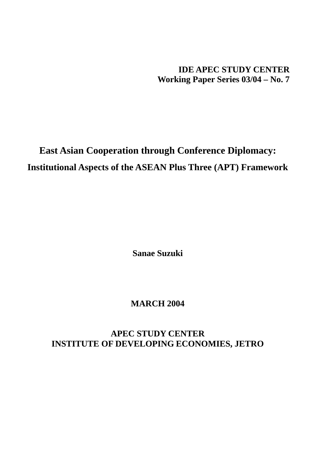**IDE APEC STUDY CENTER Working Paper Series 03/04 – No. 7** 

# **East Asian Cooperation through Conference Diplomacy: Institutional Aspects of the ASEAN Plus Three (APT) Framework**

**Sanae Suzuki** 

# **MARCH 2004**

# **APEC STUDY CENTER INSTITUTE OF DEVELOPING ECONOMIES, JETRO**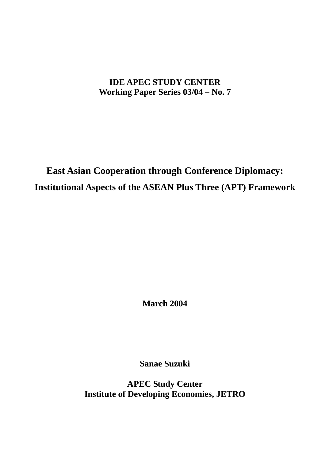# **IDE APEC STUDY CENTER Working Paper Series 03/04 – No. 7**

# **East Asian Cooperation through Conference Diplomacy: Institutional Aspects of the ASEAN Plus Three (APT) Framework**

**March 2004** 

**Sanae Suzuki** 

**APEC Study Center Institute of Developing Economies, JETRO**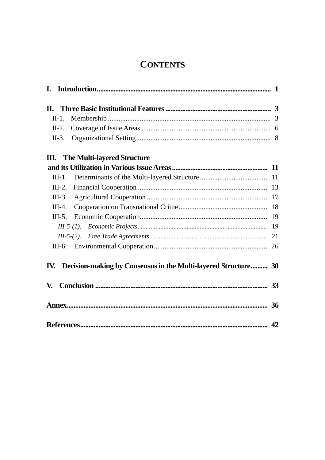# **CONTENTS**

| II. |          |                                                                    |  |
|-----|----------|--------------------------------------------------------------------|--|
|     | $II-1.$  |                                                                    |  |
|     | $II-2.$  |                                                                    |  |
|     | $II-3$ . |                                                                    |  |
| Ш.  |          | <b>The Multi-layered Structure</b>                                 |  |
|     |          |                                                                    |  |
|     | $III-1.$ |                                                                    |  |
|     | $III-2.$ |                                                                    |  |
|     | $III-3.$ |                                                                    |  |
|     | $III-4.$ |                                                                    |  |
|     | $III-5.$ |                                                                    |  |
|     |          |                                                                    |  |
|     |          |                                                                    |  |
|     |          |                                                                    |  |
|     |          | IV. Decision-making by Consensus in the Multi-layered Structure 30 |  |
| V.  |          |                                                                    |  |
|     |          |                                                                    |  |
|     |          |                                                                    |  |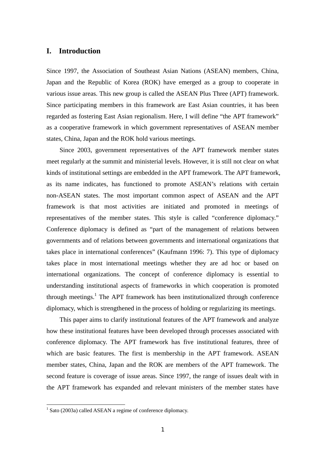# **I. Introduction**

Since 1997, the Association of Southeast Asian Nations (ASEAN) members, China, Japan and the Republic of Korea (ROK) have emerged as a group to cooperate in various issue areas. This new group is called the ASEAN Plus Three (APT) framework. Since participating members in this framework are East Asian countries, it has been regarded as fostering East Asian regionalism. Here, I will define "the APT framework" as a cooperative framework in which government representatives of ASEAN member states, China, Japan and the ROK hold various meetings.

Since 2003, government representatives of the APT framework member states meet regularly at the summit and ministerial levels. However, it is still not clear on what kinds of institutional settings are embedded in the APT framework. The APT framework, as its name indicates, has functioned to promote ASEAN's relations with certain non-ASEAN states. The most important common aspect of ASEAN and the APT framework is that most activities are initiated and promoted in meetings of representatives of the member states. This style is called "conference diplomacy." Conference diplomacy is defined as "part of the management of relations between governments and of relations between governments and international organizations that takes place in international conferences" (Kaufmann 1996: 7). This type of diplomacy takes place in most international meetings whether they are ad hoc or based on international organizations. The concept of conference diplomacy is essential to understanding institutional aspects of frameworks in which cooperation is promoted through meetings.<sup>1</sup> The APT framework has been institutionalized through conference diplomacy, which is strengthened in the process of holding or regularizing its meetings.

This paper aims to clarify institutional features of the APT framework and analyze how these institutional features have been developed through processes associated with conference diplomacy. The APT framework has five institutional features, three of which are basic features. The first is membership in the APT framework. ASEAN member states, China, Japan and the ROK are members of the APT framework. The second feature is coverage of issue areas. Since 1997, the range of issues dealt with in the APT framework has expanded and relevant ministers of the member states have

 1 Sato (2003a) called ASEAN a regime of conference diplomacy.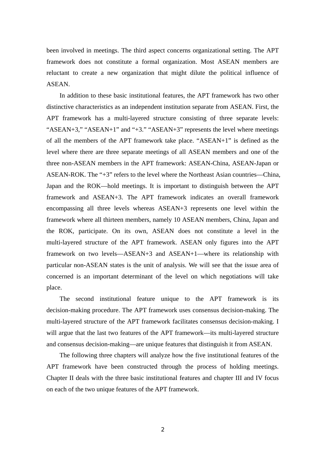been involved in meetings. The third aspect concerns organizational setting. The APT framework does not constitute a formal organization. Most ASEAN members are reluctant to create a new organization that might dilute the political influence of ASEAN.

In addition to these basic institutional features, the APT framework has two other distinctive characteristics as an independent institution separate from ASEAN. First, the APT framework has a multi-layered structure consisting of three separate levels: "ASEAN+3," "ASEAN+1" and "+3." "ASEAN+3" represents the level where meetings of all the members of the APT framework take place. "ASEAN+1" is defined as the level where there are three separate meetings of all ASEAN members and one of the three non-ASEAN members in the APT framework: ASEAN-China, ASEAN-Japan or ASEAN-ROK. The "+3" refers to the level where the Northeast Asian countries—China, Japan and the ROK—hold meetings. It is important to distinguish between the APT framework and ASEAN+3. The APT framework indicates an overall framework encompassing all three levels whereas ASEAN+3 represents one level within the framework where all thirteen members, namely 10 ASEAN members, China, Japan and the ROK, participate. On its own, ASEAN does not constitute a level in the multi-layered structure of the APT framework. ASEAN only figures into the APT framework on two levels—ASEAN+3 and ASEAN+1—where its relationship with particular non-ASEAN states is the unit of analysis. We will see that the issue area of concerned is an important determinant of the level on which negotiations will take place.

The second institutional feature unique to the APT framework is its decision-making procedure. The APT framework uses consensus decision-making. The multi-layered structure of the APT framework facilitates consensus decision-making. I will argue that the last two features of the APT framework—its multi-layered structure and consensus decision-making—are unique features that distinguish it from ASEAN.

The following three chapters will analyze how the five institutional features of the APT framework have been constructed through the process of holding meetings. Chapter II deals with the three basic institutional features and chapter III and IV focus on each of the two unique features of the APT framework.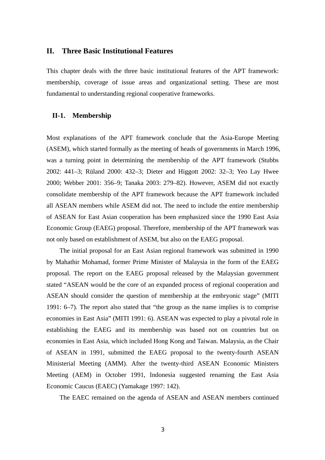## **II. Three Basic Institutional Features**

This chapter deals with the three basic institutional features of the APT framework: membership, coverage of issue areas and organizational setting. These are most fundamental to understanding regional cooperative frameworks.

### **II-1. Membership**

Most explanations of the APT framework conclude that the Asia-Europe Meeting (ASEM), which started formally as the meeting of heads of governments in March 1996, was a turning point in determining the membership of the APT framework (Stubbs 2002: 441–3; Rüland 2000: 432–3; Dieter and Higgott 2002: 32–3; Yeo Lay Hwee 2000; Webber 2001: 356–9; Tanaka 2003: 279–82). However, ASEM did not exactly consolidate membership of the APT framework because the APT framework included all ASEAN members while ASEM did not. The need to include the entire membership of ASEAN for East Asian cooperation has been emphasized since the 1990 East Asia Economic Group (EAEG) proposal. Therefore, membership of the APT framework was not only based on establishment of ASEM, but also on the EAEG proposal.

The initial proposal for an East Asian regional framework was submitted in 1990 by Mahathir Mohamad, former Prime Minister of Malaysia in the form of the EAEG proposal. The report on the EAEG proposal released by the Malaysian government stated "ASEAN would be the core of an expanded process of regional cooperation and ASEAN should consider the question of membership at the embryonic stage" (MITI 1991: 6–7). The report also stated that "the group as the name implies is to comprise economies in East Asia" (MITI 1991: 6). ASEAN was expected to play a pivotal role in establishing the EAEG and its membership was based not on countries but on economies in East Asia, which included Hong Kong and Taiwan. Malaysia, as the Chair of ASEAN in 1991, submitted the EAEG proposal to the twenty-fourth ASEAN Ministerial Meeting (AMM). After the twenty-third ASEAN Economic Ministers Meeting (AEM) in October 1991, Indonesia suggested renaming the East Asia Economic Caucus (EAEC) (Yamakage 1997: 142).

The EAEC remained on the agenda of ASEAN and ASEAN members continued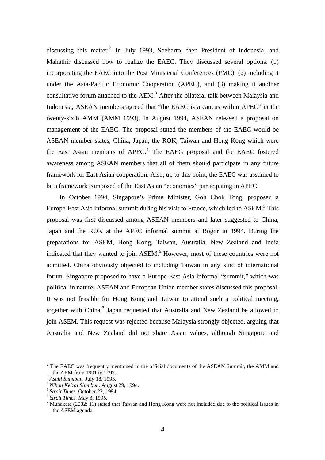discussing this matter.<sup>2</sup> In July 1993, Soeharto, then President of Indonesia, and Mahathir discussed how to realize the EAEC. They discussed several options: (1) incorporating the EAEC into the Post Ministerial Conferences (PMC), (2) including it under the Asia-Pacific Economic Cooperation (APEC), and (3) making it another consultative forum attached to the  $AEM$ .<sup>3</sup> After the bilateral talk between Malaysia and Indonesia, ASEAN members agreed that "the EAEC is a caucus within APEC" in the twenty-sixth AMM (AMM 1993). In August 1994, ASEAN released a proposal on management of the EAEC. The proposal stated the members of the EAEC would be ASEAN member states, China, Japan, the ROK, Taiwan and Hong Kong which were the East Asian members of APEC.<sup>4</sup> The EAEG proposal and the EAEC fostered awareness among ASEAN members that all of them should participate in any future framework for East Asian cooperation. Also, up to this point, the EAEC was assumed to be a framework composed of the East Asian "economies" participating in APEC.

In October 1994, Singapore's Prime Minister, Goh Chok Tong, proposed a Europe-East Asia informal summit during his visit to France, which led to ASEM.<sup>5</sup> This proposal was first discussed among ASEAN members and later suggested to China, Japan and the ROK at the APEC informal summit at Bogor in 1994. During the preparations for ASEM, Hong Kong, Taiwan, Australia, New Zealand and India indicated that they wanted to join ASEM.<sup>6</sup> However, most of these countries were not admitted. China obviously objected to including Taiwan in any kind of international forum. Singapore proposed to have a Europe-East Asia informal "summit," which was political in nature; ASEAN and European Union member states discussed this proposal. It was not feasible for Hong Kong and Taiwan to attend such a political meeting, together with China.<sup>7</sup> Japan requested that Australia and New Zealand be allowed to join ASEM. This request was rejected because Malaysia strongly objected, arguing that Australia and New Zealand did not share Asian values, although Singapore and

 $2$  The EAEC was frequently mentioned in the official documents of the ASEAN Summit, the AMM and the AEM from 1991 to 1997.<br>
<sup>3</sup> *Asahi Shimbun.* July 18, 1993.<br>
<sup>4</sup> *Nihon Keizai Shimbun.* August 29, 1994.<br>
<sup>5</sup> *Strait Times.* October 22, 1994.<br>
<sup>6</sup> *Strait Times.* May 3, 1995.

<sup>&</sup>lt;sup>7</sup> Munakata (2002: 11) stated that Taiwan and Hong Kong were not included due to the political issues in the ASEM agenda.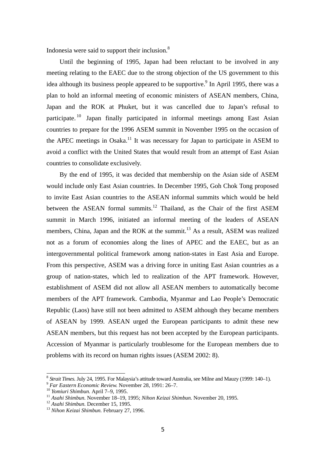Indonesia were said to support their inclusion.8

Until the beginning of 1995, Japan had been reluctant to be involved in any meeting relating to the EAEC due to the strong objection of the US government to this idea although its business people appeared to be supportive. In April 1995, there was a plan to hold an informal meeting of economic ministers of ASEAN members, China, Japan and the ROK at Phuket, but it was cancelled due to Japan's refusal to participate. 10 Japan finally participated in informal meetings among East Asian countries to prepare for the 1996 ASEM summit in November 1995 on the occasion of the APEC meetings in Osaka.<sup>11</sup> It was necessary for Japan to participate in ASEM to avoid a conflict with the United States that would result from an attempt of East Asian countries to consolidate exclusively.

By the end of 1995, it was decided that membership on the Asian side of ASEM would include only East Asian countries. In December 1995, Goh Chok Tong proposed to invite East Asian countries to the ASEAN informal summits which would be held between the ASEAN formal summits.<sup>12</sup> Thailand, as the Chair of the first ASEM summit in March 1996, initiated an informal meeting of the leaders of ASEAN members, China, Japan and the ROK at the summit.<sup>13</sup> As a result, ASEM was realized not as a forum of economies along the lines of APEC and the EAEC, but as an intergovernmental political framework among nation-states in East Asia and Europe. From this perspective, ASEM was a driving force in uniting East Asian countries as a group of nation-states, which led to realization of the APT framework. However, establishment of ASEM did not allow all ASEAN members to automatically become members of the APT framework. Cambodia, Myanmar and Lao People's Democratic Republic (Laos) have still not been admitted to ASEM although they became members of ASEAN by 1999. ASEAN urged the European participants to admit these new ASEAN members, but this request has not been accepted by the European participants. Accession of Myanmar is particularly troublesome for the European members due to problems with its record on human rights issues (ASEM 2002: 8).

<sup>&</sup>lt;sup>8</sup> Strait Times. July 24, 1995. For Malaysia's attitude toward Australia, see Milne and Mauzy (1999: 140–1).<br>
<sup>9</sup> Far Eastern Economic Review. November 28, 1991: 26–7.<br>
<sup>10</sup> Yomiuri Shimbun. April 7–9, 1995.<br>
<sup>11</sup> Asahi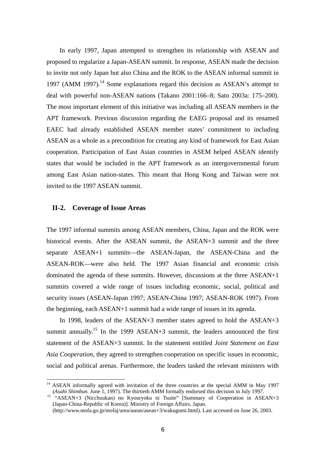In early 1997, Japan attempted to strengthen its relationship with ASEAN and proposed to regularize a Japan-ASEAN summit. In response, ASEAN made the decision to invite not only Japan but also China and the ROK to the ASEAN informal summit in 1997 (AMM 1997).<sup>14</sup> Some explanations regard this decision as ASEAN's attempt to deal with powerful non-ASEAN nations (Takano 2001:166–8; Sato 2003a: 175–200). The most important element of this initiative was including all ASEAN members in the APT framework. Previous discussion regarding the EAEG proposal and its renamed EAEC had already established ASEAN member states' commitment to including ASEAN as a whole as a precondition for creating any kind of framework for East Asian cooperation. Participation of East Asian countries in ASEM helped ASEAN identify states that would be included in the APT framework as an intergovernmental forum among East Asian nation-states. This meant that Hong Kong and Taiwan were not invited to the 1997 ASEAN summit.

## **II-2. Coverage of Issue Areas**

 $\overline{a}$ 

The 1997 informal summits among ASEAN members, China, Japan and the ROK were historical events. After the ASEAN summit, the ASEAN+3 summit and the three separate ASEAN+1 summits—the ASEAN-Japan, the ASEAN-China and the ASEAN-ROK—were also held. The 1997 Asian financial and economic crisis dominated the agenda of these summits. However, discussions at the three ASEAN+1 summits covered a wide range of issues including economic, social, political and security issues (ASEAN-Japan 1997; ASEAN-China 1997; ASEAN-ROK 1997). From the beginning, each ASEAN+1 summit had a wide range of issues in its agenda.

In 1998, leaders of the ASEAN+3 member states agreed to hold the ASEAN+3 summit annually.<sup>15</sup> In the 1999 ASEAN+3 summit, the leaders announced the first statement of the ASEAN+3 summit. In the statement entitled *Joint Statement on East Asia Cooperation*, they agreed to strengthen cooperation on specific issues in economic, social and political arenas. Furthermore, the leaders tasked the relevant ministers with

<sup>&</sup>lt;sup>14</sup> ASEAN informally agreed with invitation of the three countries at the special AMM in May 1997 (*Asahi Shimbun.* June 1, 1997). The thirtieth AMM formally endorsed this decision in July 1997. 15 "ASEAN+3 (Nicchuukan) no Kyouryoku ni Tsuite" [Summary of Cooperation in ASEAN+3

<sup>(</sup>Japan-China-Republic of Korea)]. Ministry of Foreign Affairs, Japan.

<sup>(</sup>http://www.mofa.go.jp/mofaj/area/asean/asean+3/wakugumi.html). Last accessed on June 26, 2003.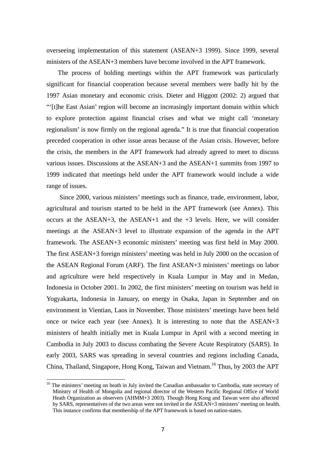overseeing implementation of this statement (ASEAN+3 1999). Since 1999, several ministers of the ASEAN+3 members have become involved in the APT framework.

The process of holding meetings within the APT framework was particularly significant for financial cooperation because several members were badly hit by the 1997 Asian monetary and economic crisis. Dieter and Higgott (2002: 2) argued that "'[t]he East Asian' region will become an increasingly important domain within which to explore protection against financial crises and what we might call 'monetary regionalism' is now firmly on the regional agenda." It is true that financial cooperation preceded cooperation in other issue areas because of the Asian crisis. However, before the crisis, the members in the APT framework had already agreed to meet to discuss various issues. Discussions at the ASEAN+3 and the ASEAN+1 summits from 1997 to 1999 indicated that meetings held under the APT framework would include a wide range of issues.

Since 2000, various ministers' meetings such as finance, trade, environment, labor, agricultural and tourism started to be held in the APT framework (see Annex). This occurs at the ASEAN+3, the ASEAN+1 and the +3 levels. Here, we will consider meetings at the ASEAN+3 level to illustrate expansion of the agenda in the APT framework. The ASEAN+3 economic ministers' meeting was first held in May 2000. The first ASEAN+3 foreign ministers' meeting was held in July 2000 on the occasion of the ASEAN Regional Forum (ARF). The first ASEAN+3 ministers' meetings on labor and agriculture were held respectively in Kuala Lumpur in May and in Medan, Indonesia in October 2001. In 2002, the first ministers' meeting on tourism was held in Yogyakarta, Indonesia in January, on energy in Osaka, Japan in September and on environment in Vientian, Laos in November. Those ministers' meetings have been held once or twice each year (see Annex). It is interesting to note that the ASEAN+3 ministers of health initially met in Kuala Lumpur in April with a second meeting in Cambodia in July 2003 to discuss combating the Severe Acute Respiratory (SARS). In early 2003, SARS was spreading in several countries and regions including Canada, China, Thailand, Singapore, Hong Kong, Taiwan and Vietnam.<sup>16</sup> Thus, by 2003 the APT

<sup>&</sup>lt;sup>16</sup> The ministers' meeting on heath in July invited the Canadian ambassador to Cambodia, state secretary of Ministry of Health of Mongolia and regional director of the Western Pacific Regional Office of World Heath Organization as observers (AHMM+3 2003). Though Hong Kong and Taiwan were also affected by SARS, representatives of the two areas were not invited in the ASEAN+3 ministers' meeting on health. This instance confirms that membership of the APT framework is based on nation-states.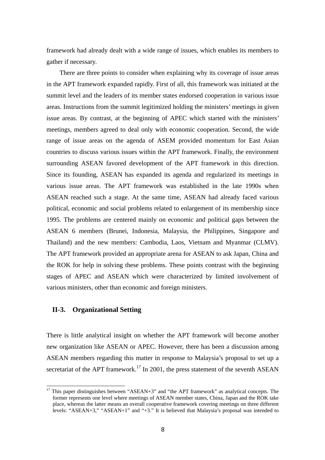framework had already dealt with a wide range of issues, which enables its members to gather if necessary.

There are three points to consider when explaining why its coverage of issue areas in the APT framework expanded rapidly. First of all, this framework was initiated at the summit level and the leaders of its member states endorsed cooperation in various issue areas. Instructions from the summit legitimized holding the ministers' meetings in given issue areas. By contrast, at the beginning of APEC which started with the ministers' meetings, members agreed to deal only with economic cooperation. Second, the wide range of issue areas on the agenda of ASEM provided momentum for East Asian countries to discuss various issues within the APT framework. Finally, the environment surrounding ASEAN favored development of the APT framework in this direction. Since its founding, ASEAN has expanded its agenda and regularized its meetings in various issue areas. The APT framework was established in the late 1990s when ASEAN reached such a stage. At the same time, ASEAN had already faced various political, economic and social problems related to enlargement of its membership since 1995. The problems are centered mainly on economic and political gaps between the ASEAN 6 members (Brunei, Indonesia, Malaysia, the Philippines, Singapore and Thailand) and the new members: Cambodia, Laos, Vietnam and Myanmar (CLMV). The APT framework provided an appropriate arena for ASEAN to ask Japan, China and the ROK for help in solving these problems. These points contrast with the beginning stages of APEC and ASEAN which were characterized by limited involvement of various ministers, other than economic and foreign ministers.

## **II-3. Organizational Setting**

 $\overline{a}$ 

There is little analytical insight on whether the APT framework will become another new organization like ASEAN or APEC. However, there has been a discussion among ASEAN members regarding this matter in response to Malaysia's proposal to set up a secretariat of the APT framework.<sup>17</sup> In 2001, the press statement of the seventh ASEAN

 $17$  This paper distinguishes between "ASEAN+3" and "the APT framework" as analytical concepts. The former represents one level where meetings of ASEAN member states, China, Japan and the ROK take place, whereas the latter means an overall cooperative framework covering meetings on three different levels: "ASEAN+3," "ASEAN+1" and "+3," It is believed that Malaysia's proposal was intended to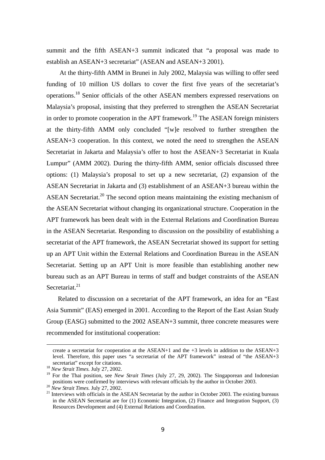summit and the fifth ASEAN+3 summit indicated that "a proposal was made to establish an ASEAN+3 secretariat" (ASEAN and ASEAN+3 2001).

At the thirty-fifth AMM in Brunei in July 2002, Malaysia was willing to offer seed funding of 10 million US dollars to cover the first five years of the secretariat's operations.18 Senior officials of the other ASEAN members expressed reservations on Malaysia's proposal, insisting that they preferred to strengthen the ASEAN Secretariat in order to promote cooperation in the APT framework.<sup>19</sup> The ASEAN foreign ministers at the thirty-fifth AMM only concluded "[w]e resolved to further strengthen the ASEAN+3 cooperation. In this context, we noted the need to strengthen the ASEAN Secretariat in Jakarta and Malaysia's offer to host the ASEAN+3 Secretariat in Kuala Lumpur" (AMM 2002). During the thirty-fifth AMM, senior officials discussed three options: (1) Malaysia's proposal to set up a new secretariat, (2) expansion of the ASEAN Secretariat in Jakarta and (3) establishment of an ASEAN+3 bureau within the ASEAN Secretariat.<sup>20</sup> The second option means maintaining the existing mechanism of the ASEAN Secretariat without changing its organizational structure. Cooperation in the APT framework has been dealt with in the External Relations and Coordination Bureau in the ASEAN Secretariat. Responding to discussion on the possibility of establishing a secretariat of the APT framework, the ASEAN Secretariat showed its support for setting up an APT Unit within the External Relations and Coordination Bureau in the ASEAN Secretariat. Setting up an APT Unit is more feasible than establishing another new bureau such as an APT Bureau in terms of staff and budget constraints of the ASEAN Secretariat<sup>21</sup>

 Related to discussion on a secretariat of the APT framework, an idea for an "East Asia Summit" (EAS) emerged in 2001. According to the Report of the East Asian Study Group (EASG) submitted to the 2002 ASEAN+3 summit, three concrete measures were recommended for institutional cooperation:

-

create a secretariat for cooperation at the ASEAN+1 and the +3 levels in addition to the ASEAN+3 level. Therefore, this paper uses "a secretariat of the APT framework" instead of "the ASEAN+3 secretariat" except for citations. 18 *New Strait Times.* July 27, 2002.

<sup>&</sup>lt;sup>19</sup> For the Thai position, see *New Strait Times* (July 27, 29, 2002). The Singaporean and Indonesian positions were confirmed by interviews with relevant officials by the author in October 2003.

 $^{20}$  New Strait Times. July 27, 2002.<br><sup>21</sup> Interviews with officials in the ASEAN Secretariat by the author in October 2003. The existing bureaus in the ASEAN Secretariat are for (1) Economic Integration, (2) Finance and Integration Support, (3) Resources Development and (4) External Relations and Coordination.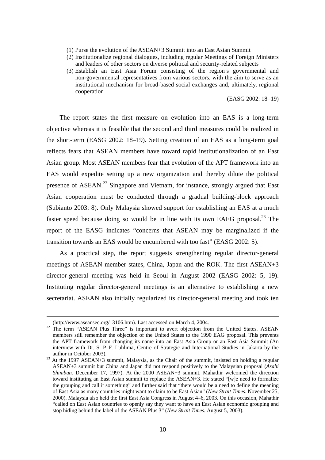- (1) Purse the evolution of the ASEAN+3 Summit into an East Asian Summit
- (2) Institutionalize regional dialogues, including regular Meetings of Foreign Ministers and leaders of other sectors on diverse political and security-related subjects
- (3) Establish an East Asia Forum consisting of the region's governmental and non-governmental representatives from various sectors, with the aim to serve as an institutional mechanism for broad-based social exchanges and, ultimately, regional cooperation

(EASG 2002: 18–19)

The report states the first measure on evolution into an EAS is a long-term objective whereas it is feasible that the second and third measures could be realized in the short-term (EASG 2002: 18–19). Setting creation of an EAS as a long-term goal reflects fears that ASEAN members have toward rapid institutionalization of an East Asian group. Most ASEAN members fear that evolution of the APT framework into an EAS would expedite setting up a new organization and thereby dilute the political presence of ASEAN.<sup>22</sup> Singapore and Vietnam, for instance, strongly argued that East Asian cooperation must be conducted through a gradual building-block approach (Subianto 2003: 8). Only Malaysia showed support for establishing an EAS at a much faster speed because doing so would be in line with its own EAEG proposal.<sup>23</sup> The report of the EASG indicates "concerns that ASEAN may be marginalized if the transition towards an EAS would be encumbered with too fast" (EASG 2002: 5).

As a practical step, the report suggests strengthening regular director-general meetings of ASEAN member states, China, Japan and the ROK. The first ASEAN+3 director-general meeting was held in Seoul in August 2002 (EASG 2002: 5, 19). Instituting regular director-general meetings is an alternative to establishing a new secretariat. ASEAN also initially regularized its director-general meeting and took ten

-

<sup>(</sup>http://www.aseansec.org/13106.htm). Last accessed on March 4, 2004.<br><sup>22</sup> The term "ASEAN Plus Three" is important to avert objection from the United States. ASEAN members still remember the objection of the United States to the 1990 EAG proposal. This prevents the APT framework from changing its name into an East Asia Group or an East Asia Summit (An interview with Dr. S. P. F. Luhlima, Centre of Strategic and International Studies in Jakarta by the

author in October 2003). 23 At the 1997 ASEAN+3 summit, Malaysia, as the Chair of the summit, insisted on holding a regular ASEAN+3 summit but China and Japan did not respond positively to the Malaysian proposal (*Asahi Shimbun.* December 17, 1997). At the 2000 ASEAN+3 summit, Mahathir welcomed the direction toward instituting an East Asian summit to replace the ASEAN+3. He stated "[w]e need to formalize the grouping and call it something" and further said that "there would be a need to define the meaning of East Asia as many countries might want to claim to be East Asian" (*New Strait Times*. November 25, 2000). Malaysia also held the first East Asia Congress in August 4–6, 2003. On this occasion, Mahathir "called on East Asian countries to openly say they want to have an East Asian economic grouping and stop hiding behind the label of the ASEAN Plus 3" (*New Strait Times.* August 5, 2003).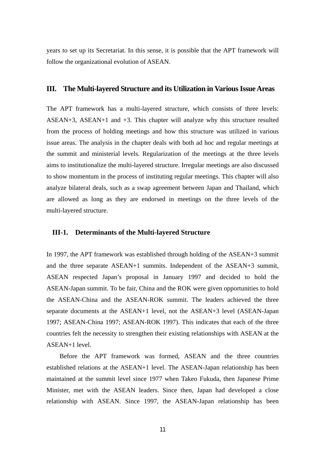years to set up its Secretariat. In this sense, it is possible that the APT framework will follow the organizational evolution of ASEAN.

## **III. The Multi-layered Structure and its Utilization in Various Issue Areas**

The APT framework has a multi-layered structure, which consists of three levels: ASEAN+3, ASEAN+1 and +3. This chapter will analyze why this structure resulted from the process of holding meetings and how this structure was utilized in various issue areas. The analysis in the chapter deals with both ad hoc and regular meetings at the summit and ministerial levels. Regularization of the meetings at the three levels aims to institutionalize the multi-layered structure. Irregular meetings are also discussed to show momentum in the process of instituting regular meetings. This chapter will also analyze bilateral deals, such as a swap agreement between Japan and Thailand, which are allowed as long as they are endorsed in meetings on the three levels of the multi-layered structure.

## **III-1. Determinants of the Multi-layered Structure**

In 1997, the APT framework was established through holding of the ASEAN+3 summit and the three separate ASEAN+1 summits. Independent of the ASEAN+3 summit, ASEAN respected Japan's proposal in January 1997 and decided to hold the ASEAN-Japan summit. To be fair, China and the ROK were given opportunities to hold the ASEAN-China and the ASEAN-ROK summit. The leaders achieved the three separate documents at the ASEAN+1 level, not the ASEAN+3 level (ASEAN-Japan 1997; ASEAN-China 1997; ASEAN-ROK 1997). This indicates that each of the three countries felt the necessity to strengthen their existing relationships with ASEAN at the ASEAN+1 level.

Before the APT framework was formed, ASEAN and the three countries established relations at the ASEAN+1 level. The ASEAN-Japan relationship has been maintained at the summit level since 1977 when Takeo Fukuda, then Japanese Prime Minister, met with the ASEAN leaders. Since then, Japan had developed a close relationship with ASEAN. Since 1997, the ASEAN-Japan relationship has been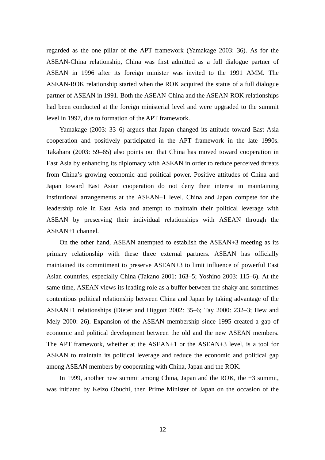regarded as the one pillar of the APT framework (Yamakage 2003: 36). As for the ASEAN-China relationship, China was first admitted as a full dialogue partner of ASEAN in 1996 after its foreign minister was invited to the 1991 AMM. The ASEAN-ROK relationship started when the ROK acquired the status of a full dialogue partner of ASEAN in 1991. Both the ASEAN-China and the ASEAN-ROK relationships had been conducted at the foreign ministerial level and were upgraded to the summit level in 1997, due to formation of the APT framework.

Yamakage (2003: 33–6) argues that Japan changed its attitude toward East Asia cooperation and positively participated in the APT framework in the late 1990s. Takahara (2003: 59–65) also points out that China has moved toward cooperation in East Asia by enhancing its diplomacy with ASEAN in order to reduce perceived threats from China's growing economic and political power. Positive attitudes of China and Japan toward East Asian cooperation do not deny their interest in maintaining institutional arrangements at the ASEAN+1 level. China and Japan compete for the leadership role in East Asia and attempt to maintain their political leverage with ASEAN by preserving their individual relationships with ASEAN through the ASEAN+1 channel.

On the other hand, ASEAN attempted to establish the ASEAN+3 meeting as its primary relationship with these three external partners. ASEAN has officially maintained its commitment to preserve ASEAN+3 to limit influence of powerful East Asian countries, especially China (Takano 2001: 163–5; Yoshino 2003: 115–6). At the same time, ASEAN views its leading role as a buffer between the shaky and sometimes contentious political relationship between China and Japan by taking advantage of the ASEAN+1 relationships (Dieter and Higgott 2002: 35–6; Tay 2000: 232–3; Hew and Mely 2000: 26). Expansion of the ASEAN membership since 1995 created a gap of economic and political development between the old and the new ASEAN members. The APT framework, whether at the ASEAN+1 or the ASEAN+3 level, is a tool for ASEAN to maintain its political leverage and reduce the economic and political gap among ASEAN members by cooperating with China, Japan and the ROK.

In 1999, another new summit among China, Japan and the ROK, the +3 summit, was initiated by Keizo Obuchi, then Prime Minister of Japan on the occasion of the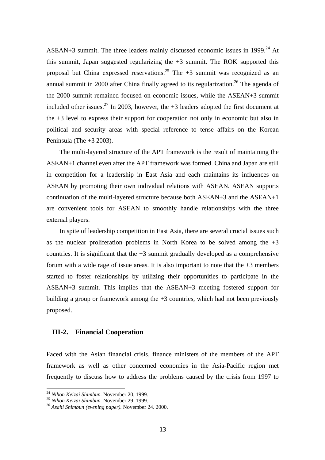ASEAN+3 summit. The three leaders mainly discussed economic issues in 1999.<sup>24</sup> At this summit, Japan suggested regularizing the +3 summit. The ROK supported this proposal but China expressed reservations.<sup>25</sup> The  $+3$  summit was recognized as an annual summit in 2000 after China finally agreed to its regularization.<sup>26</sup> The agenda of the 2000 summit remained focused on economic issues, while the ASEAN+3 summit included other issues.<sup>27</sup> In 2003, however, the  $+3$  leaders adopted the first document at the +3 level to express their support for cooperation not only in economic but also in political and security areas with special reference to tense affairs on the Korean Peninsula (The +3 2003).

The multi-layered structure of the APT framework is the result of maintaining the ASEAN+1 channel even after the APT framework was formed. China and Japan are still in competition for a leadership in East Asia and each maintains its influences on ASEAN by promoting their own individual relations with ASEAN. ASEAN supports continuation of the multi-layered structure because both ASEAN+3 and the ASEAN+1 are convenient tools for ASEAN to smoothly handle relationships with the three external players.

In spite of leadership competition in East Asia, there are several crucial issues such as the nuclear proliferation problems in North Korea to be solved among the  $+3$ countries. It is significant that the  $+3$  summit gradually developed as a comprehensive forum with a wide rage of issue areas. It is also important to note that the  $+3$  members started to foster relationships by utilizing their opportunities to participate in the ASEAN+3 summit. This implies that the ASEAN+3 meeting fostered support for building a group or framework among the  $+3$  countries, which had not been previously proposed.

## **III-2. Financial Cooperation**

Faced with the Asian financial crisis, finance ministers of the members of the APT framework as well as other concerned economies in the Asia-Pacific region met frequently to discuss how to address the problems caused by the crisis from 1997 to

<sup>&</sup>lt;sup>24</sup> Nihon Keizai Shimbun, November 20, 1999.

<sup>&</sup>lt;sup>25</sup> *Nihon Keizai Shimbun.* November 29. 1999.<br><sup>26</sup> *Asahi Shimbun (evening paper).* November 24. 2000.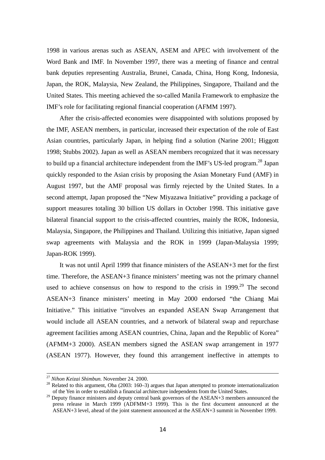1998 in various arenas such as ASEAN, ASEM and APEC with involvement of the Word Bank and IMF. In November 1997, there was a meeting of finance and central bank deputies representing Australia, Brunei, Canada, China, Hong Kong, Indonesia, Japan, the ROK, Malaysia, New Zealand, the Philippines, Singapore, Thailand and the United States. This meeting achieved the so-called Manila Framework to emphasize the IMF's role for facilitating regional financial cooperation (AFMM 1997).

After the crisis-affected economies were disappointed with solutions proposed by the IMF, ASEAN members, in particular, increased their expectation of the role of East Asian countries, particularly Japan, in helping find a solution (Narine 2001; Higgott 1998; Stubbs 2002). Japan as well as ASEAN members recognized that it was necessary to build up a financial architecture independent from the IMF's US-led program.<sup>28</sup> Japan quickly responded to the Asian crisis by proposing the Asian Monetary Fund (AMF) in August 1997, but the AMF proposal was firmly rejected by the United States. In a second attempt, Japan proposed the "New Miyazawa Initiative" providing a package of support measures totaling 30 billion US dollars in October 1998. This initiative gave bilateral financial support to the crisis-affected countries, mainly the ROK, Indonesia, Malaysia, Singapore, the Philippines and Thailand. Utilizing this initiative, Japan signed swap agreements with Malaysia and the ROK in 1999 (Japan-Malaysia 1999; Japan-ROK 1999).

It was not until April 1999 that finance ministers of the ASEAN+3 met for the first time. Therefore, the ASEAN+3 finance ministers' meeting was not the primary channel used to achieve consensus on how to respond to the crisis in  $1999$ <sup>29</sup>. The second ASEAN+3 finance ministers' meeting in May 2000 endorsed "the Chiang Mai Initiative." This initiative "involves an expanded ASEAN Swap Arrangement that would include all ASEAN countries, and a network of bilateral swap and repurchase agreement facilities among ASEAN countries, China, Japan and the Republic of Korea" (AFMM+3 2000). ASEAN members signed the ASEAN swap arrangement in 1977 (ASEAN 1977). However, they found this arrangement ineffective in attempts to

-

<sup>&</sup>lt;sup>27</sup> *Nihon Keizai Shimbun.* November 24. 2000.<br><sup>28</sup> Related to this argument, Oba (2003: 160–3) argues that Japan attempted to promote internationalization of the Yen in order to establish a financial architecture independents from the United States.

 $29$  Deputy finance ministers and deputy central bank governors of the ASEAN+3 members announced the press release in March 1999 (ADFMM+3 1999). This is the first document announced at the ASEAN+3 level, ahead of the joint statement announced at the ASEAN+3 summit in November 1999.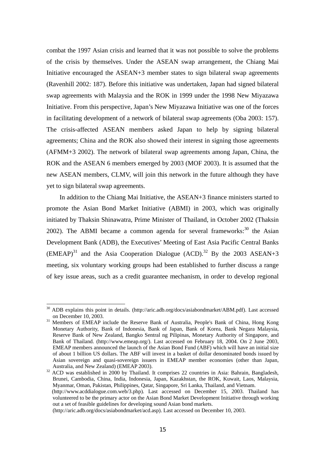combat the 1997 Asian crisis and learned that it was not possible to solve the problems of the crisis by themselves. Under the ASEAN swap arrangement, the Chiang Mai Initiative encouraged the ASEAN+3 member states to sign bilateral swap agreements (Ravenhill 2002: 187). Before this initiative was undertaken, Japan had signed bilateral swap agreements with Malaysia and the ROK in 1999 under the 1998 New Miyazawa Initiative. From this perspective, Japan's New Miyazawa Initiative was one of the forces in facilitating development of a network of bilateral swap agreements (Oba 2003: 157). The crisis-affected ASEAN members asked Japan to help by signing bilateral agreements; China and the ROK also showed their interest in signing those agreements (AFMM+3 2002). The network of bilateral swap agreements among Japan, China, the ROK and the ASEAN 6 members emerged by 2003 (MOF 2003). It is assumed that the new ASEAN members, CLMV, will join this network in the future although they have yet to sign bilateral swap agreements.

In addition to the Chiang Mai Initiative, the ASEAN+3 finance ministers started to promote the Asian Bond Market Initiative (ABMI) in 2003, which was originally initiated by Thaksin Shinawatra, Prime Minister of Thailand, in October 2002 (Thaksin 2002). The ABMI became a common agenda for several frameworks: $30$  the Asian Development Bank (ADB), the Executives' Meeting of East Asia Pacific Central Banks  $(EMEAP)^{31}$  and the Asia Cooperation Dialogue  $(ACD)^{32}$  By the 2003 ASEAN+3 meeting, six voluntary working groups had been established to further discuss a range of key issue areas, such as a credit guarantee mechanism, in order to develop regional

<sup>30</sup> ADB explains this point in details. (http://aric.adb.org/docs/asiabondmarket/ABM.pdf). Last accessed on December 10, 2003.<br><sup>31</sup> Members of EMEAP include the Reserve Bank of Australia, People's Bank of China, Hong Kong

Monetary Authority, Bank of Indonesia, Bank of Japan, Bank of Korea, Bank Negara Malaysia, Reserve Bank of New Zealand, Bangko Sentral ng Pilipinas, Monetary Authority of Singapore, and Bank of Thailand. (http://www.emeap.org/). Last accessed on February 18, 2004. On 2 June 2003, EMEAP members announced the launch of the Asian Bond Fund (ABF) which will have an initial size of about 1 billion US dollars. The ABF will invest in a basket of dollar denominated bonds issued by Asian sovereign and quasi-sovereign issuers in EMEAP member economies (other than Japan,

Australia, and New Zealand) (EMEAP 2003). 32 ACD was established in 2000 by Thailand. It comprises 22 countries in Asia: Bahrain, Bangladesh, Brunei, Cambodia, China, India, Indonesia, Japan, Kazakhstan, the ROK, Kuwait, Laos, Malaysia, Myanmar, Oman, Pakistan, Philippines, Qatar, Singapore, Sri Lanka, Thailand, and Vietnam.

 <sup>(</sup>http://www.acddialogue.com.web/3.php). Last accessed on December 15, 2003. Thailand has volunteered to be the primary actor on the Asian Bond Market Development Initiative through working out a set of feasible guidelines for developing sound Asian bond markets.

<sup>(</sup>http://aric.adb.org/docs/asiabondmarket/acd.asp). Last accessed on December 10, 2003.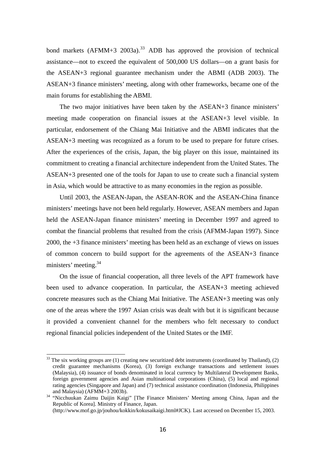bond markets (AFMM+3 2003a).<sup>33</sup> ADB has approved the provision of technical assistance—not to exceed the equivalent of 500,000 US dollars—on a grant basis for the ASEAN+3 regional guarantee mechanism under the ABMI (ADB 2003). The ASEAN+3 finance ministers' meeting, along with other frameworks, became one of the main forums for establishing the ABMI.

The two major initiatives have been taken by the ASEAN+3 finance ministers' meeting made cooperation on financial issues at the ASEAN+3 level visible. In particular, endorsement of the Chiang Mai Initiative and the ABMI indicates that the ASEAN+3 meeting was recognized as a forum to be used to prepare for future crises. After the experiences of the crisis, Japan, the big player on this issue, maintained its commitment to creating a financial architecture independent from the United States. The ASEAN+3 presented one of the tools for Japan to use to create such a financial system in Asia, which would be attractive to as many economies in the region as possible.

Until 2003, the ASEAN-Japan, the ASEAN-ROK and the ASEAN-China finance ministers' meetings have not been held regularly. However, ASEAN members and Japan held the ASEAN-Japan finance ministers' meeting in December 1997 and agreed to combat the financial problems that resulted from the crisis (AFMM-Japan 1997). Since 2000, the +3 finance ministers' meeting has been held as an exchange of views on issues of common concern to build support for the agreements of the ASEAN+3 finance ministers' meeting.34

On the issue of financial cooperation, all three levels of the APT framework have been used to advance cooperation. In particular, the ASEAN+3 meeting achieved concrete measures such as the Chiang Mai Initiative. The ASEAN+3 meeting was only one of the areas where the 1997 Asian crisis was dealt with but it is significant because it provided a convenient channel for the members who felt necessary to conduct regional financial policies independent of the United States or the IMF.

 $33$  The six working groups are (1) creating new securitized debt instruments (coordinated by Thailand), (2) credit guarantee mechanisms (Korea), (3) foreign exchange transactions and settlement issues (Malaysia), (4) issuance of bonds denominated in local currency by Multilateral Development Banks, foreign government agencies and Asian multinational corporations (China), (5) local and regional rating agencies (Singapore and Japan) and (7) technical assistance coordination (Indonesia, Philippines

and Malaysia) (AFMM+3 2003b). 34 "Nicchuukan Zaimu Daijin Kaigi" [The Finance Ministers' Meeting among China, Japan and the Republic of Korea]. Ministry of Finance, Japan.

<sup>(</sup>http://www.mof.go.jp/jouhou/kokkin/kokusaikaigi.html#JCK). Last accessed on December 15, 2003.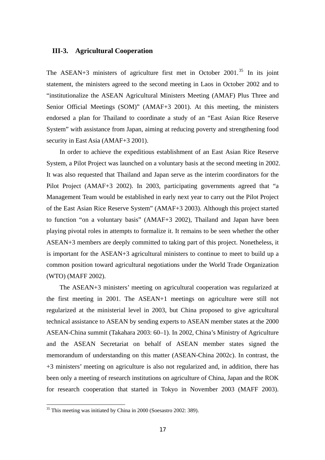## **III-3. Agricultural Cooperation**

The ASEAN+3 ministers of agriculture first met in October 2001.<sup>35</sup> In its joint statement, the ministers agreed to the second meeting in Laos in October 2002 and to "institutionalize the ASEAN Agricultural Ministers Meeting (AMAF) Plus Three and Senior Official Meetings (SOM)" (AMAF+3 2001). At this meeting, the ministers endorsed a plan for Thailand to coordinate a study of an "East Asian Rice Reserve System" with assistance from Japan, aiming at reducing poverty and strengthening food security in East Asia (AMAF+3 2001).

In order to achieve the expeditious establishment of an East Asian Rice Reserve System, a Pilot Project was launched on a voluntary basis at the second meeting in 2002. It was also requested that Thailand and Japan serve as the interim coordinators for the Pilot Project (AMAF+3 2002). In 2003, participating governments agreed that "a Management Team would be established in early next year to carry out the Pilot Project of the East Asian Rice Reserve System" (AMAF+3 2003). Although this project started to function "on a voluntary basis" (AMAF+3 2002), Thailand and Japan have been playing pivotal roles in attempts to formalize it. It remains to be seen whether the other ASEAN+3 members are deeply committed to taking part of this project. Nonetheless, it is important for the ASEAN+3 agricultural ministers to continue to meet to build up a common position toward agricultural negotiations under the World Trade Organization (WTO) (MAFF 2002).

The ASEAN+3 ministers' meeting on agricultural cooperation was regularized at the first meeting in 2001. The ASEAN+1 meetings on agriculture were still not regularized at the ministerial level in 2003, but China proposed to give agricultural technical assistance to ASEAN by sending experts to ASEAN member states at the 2000 ASEAN-China summit (Takahara 2003: 60–1). In 2002, China's Ministry of Agriculture and the ASEAN Secretariat on behalf of ASEAN member states signed the memorandum of understanding on this matter (ASEAN-China 2002c). In contrast, the +3 ministers' meeting on agriculture is also not regularized and, in addition, there has been only a meeting of research institutions on agriculture of China, Japan and the ROK for research cooperation that started in Tokyo in November 2003 (MAFF 2003).

<sup>&</sup>lt;sup>35</sup> This meeting was initiated by China in 2000 (Soesastro 2002: 389).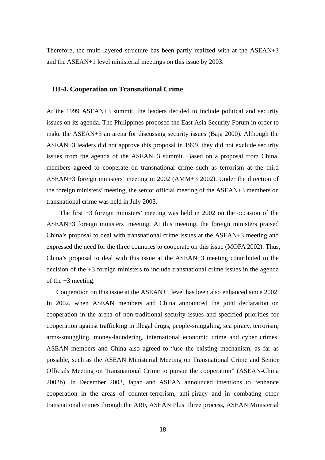Therefore, the multi-layered structure has been partly realized with at the ASEAN+3 and the ASEAN+1 level ministerial meetings on this issue by 2003.

## **III-4. Cooperation on Transnational Crime**

At the 1999 ASEAN+3 summit, the leaders decided to include political and security issues on its agenda. The Philippines proposed the East Asia Security Forum in order to make the ASEAN+3 an arena for discussing security issues (Baja 2000). Although the ASEAN+3 leaders did not approve this proposal in 1999, they did not exclude security issues from the agenda of the ASEAN+3 summit. Based on a proposal from China, members agreed to cooperate on transnational crime such as terrorism at the third ASEAN+3 foreign ministers' meeting in 2002 (AMM+3 2002). Under the direction of the foreign ministers' meeting, the senior official meeting of the ASEAN+3 members on transnational crime was held in July 2003.

The first +3 foreign ministers' meeting was held in 2002 on the occasion of the ASEAN+3 foreign ministers' meeting. At this meeting, the foreign ministers praised China's proposal to deal with transnational crime issues at the ASEAN+3 meeting and expressed the need for the three countries to cooperate on this issue (MOFA 2002). Thus, China's proposal to deal with this issue at the ASEAN+3 meeting contributed to the decision of the +3 foreign ministers to include transnational crime issues in the agenda of the  $+3$  meeting.

 Cooperation on this issue at the ASEAN+1 level has been also enhanced since 2002. In 2002, when ASEAN members and China announced the joint declaration on cooperation in the arena of non-traditional security issues and specified priorities for cooperation against trafficking in illegal drugs, people-smuggling, sea piracy, terrorism, arms-smuggling, money-laundering, international economic crime and cyber crimes. ASEAN members and China also agreed to "use the existing mechanism, as far as possible, such as the ASEAN Ministerial Meeting on Transnational Crime and Senior Officials Meeting on Transnational Crime to pursue the cooperation" (ASEAN-China 2002b). In December 2003, Japan and ASEAN announced intentions to "enhance cooperation in the areas of counter-terrorism, anti-piracy and in combating other transnational crimes through the ARF, ASEAN Plus Three process, ASEAN Ministerial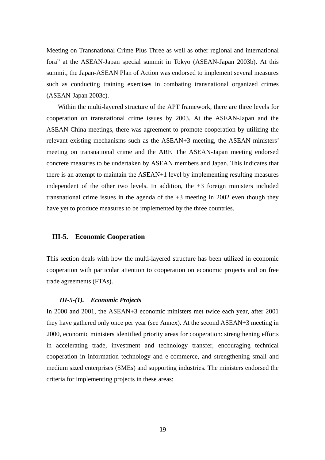Meeting on Transnational Crime Plus Three as well as other regional and international fora" at the ASEAN-Japan special summit in Tokyo (ASEAN-Japan 2003b). At this summit, the Japan-ASEAN Plan of Action was endorsed to implement several measures such as conducting training exercises in combating transnational organized crimes (ASEAN-Japan 2003c).

Within the multi-layered structure of the APT framework, there are three levels for cooperation on transnational crime issues by 2003. At the ASEAN-Japan and the ASEAN-China meetings, there was agreement to promote cooperation by utilizing the relevant existing mechanisms such as the ASEAN+3 meeting, the ASEAN ministers' meeting on transnational crime and the ARF. The ASEAN-Japan meeting endorsed concrete measures to be undertaken by ASEAN members and Japan. This indicates that there is an attempt to maintain the ASEAN+1 level by implementing resulting measures independent of the other two levels. In addition, the  $+3$  foreign ministers included transnational crime issues in the agenda of the  $+3$  meeting in 2002 even though they have yet to produce measures to be implemented by the three countries.

## **III-5. Economic Cooperation**

This section deals with how the multi-layered structure has been utilized in economic cooperation with particular attention to cooperation on economic projects and on free trade agreements (FTAs).

#### *III-5-(1). Economic Projects*

In 2000 and 2001, the ASEAN+3 economic ministers met twice each year, after 2001 they have gathered only once per year (see Annex). At the second ASEAN+3 meeting in 2000, economic ministers identified priority areas for cooperation: strengthening efforts in accelerating trade, investment and technology transfer, encouraging technical cooperation in information technology and e-commerce, and strengthening small and medium sized enterprises (SMEs) and supporting industries. The ministers endorsed the criteria for implementing projects in these areas: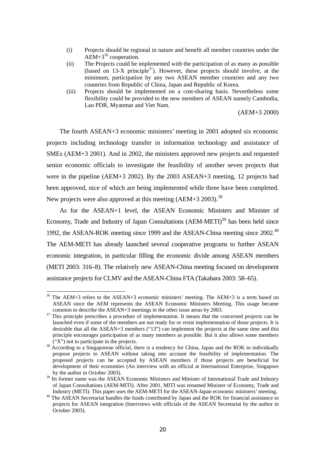- (i) Projects should be regional in nature and benefit all member countries under the  $AEM+3^{36}$  cooperation.
- (ii) The Projects could be implemented with the participation of as many as possible (based on  $13-X$  principle<sup>37</sup>). However, these projects should involve, at the minimum, participation by any two ASEAN member countries and any two countries from Republic of China, Japan and Republic of Korea.
- (iii) Projects should be implemented on a cost-sharing basis. Nevertheless some flexibility could be provided to the new members of ASEAN namely Cambodia, Lao PDR, Myanmar and Viet Nam.

(AEM+3 2000)

The fourth ASEAN+3 economic ministers' meeting in 2001 adopted six economic projects including technology transfer in information technology and assistance of SMEs (AEM+3 2001). And in 2002, the ministers approved new projects and requested senior economic officials to investigate the feasibility of another seven projects that were in the pipeline (AEM+3 2002). By the 2003 ASEAN+3 meeting, 12 projects had been approved, nice of which are being implemented while three have been completed. New projects were also approved at this meeting  $(AEM+3 2003)$ .<sup>38</sup>

As for the ASEAN+1 level, the ASEAN Economic Ministers and Minister of Economy, Trade and Industry of Japan Consultations (AEM-METI)<sup>39</sup> has been held since 1992, the ASEAN-ROK meeting since 1999 and the ASEAN-China meeting since 2002.<sup>40</sup> The AEM-METI has already launched several cooperative programs to further ASEAN economic integration, in particular filling the economic divide among ASEAN members (METI 2003: 316–8). The relatively new ASEAN-China meeting focused on development assistance projects for CLMV and the ASEAN-China FTA (Takahara 2003: 58–65).

 $36$  The AEM+3 refers to the ASEAN+3 economic ministers' meeting. The AEM+3 is a term based on ASEAN since the AEM represents the ASEAN Economic Ministers Meeting. This usage became common to describe the ASEAN+3 meetings in the other issue areas by 2003.<br><sup>37</sup> This principle prescribes a procedure of implementation. It means that the concerned projects can be

launched even if some of the members are not ready for or resist implementation of those projects. It is desirable that all the ASEAN+3 members ("13") can implement the projects at the same time and this principle encourages participation of as many members as possible. But it also allows some members

 $(''X'')$  not to participate in the projects.<br><sup>38</sup> According to a Singaporean official, there is a tendency for China, Japan and the ROK to individually propose projects to ASEAN without taking into account the feasibility of implementation. The proposed projects can be accepted by ASEAN members if those projects are beneficial for development of their economies (An interview with an official at International Enterprise, Singapore by the author in October 2003).

<sup>&</sup>lt;sup>39</sup> Its former name was the ASEAN Economic Ministers and Minister of International Trade and Industry of Japan Consultations (AEM-MITI). After 2001, MITI was renamed Minister of Economy, Trade and Industry (METI). This paper uses the AEM-METI for the ASEAN-Japan economic ministers' meeting.

<sup>&</sup>lt;sup>40</sup> The ASEAN Secretariat handles the funds contributed by Japan and the ROK for financial assistance to projects for ASEAN integration (Interviews with officials of the ASEAN Secretariat by the author in October 2003).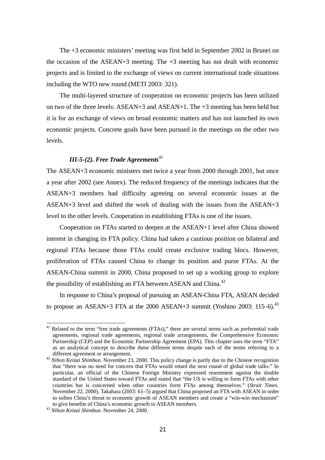The +3 economic ministers' meeting was first held in September 2002 in Brunei on the occasion of the ASEAN+3 meeting. The  $+3$  meeting has not dealt with economic projects and is limited to the exchange of views on current international trade situations including the WTO new round (METI 2003: 321).

The multi-layered structure of cooperation on economic projects has been utilized on two of the three levels: ASEAN+3 and ASEAN+1. The +3 meeting has been held but it is for an exchange of views on broad economic matters and has not launched its own economic projects. Concrete goals have been pursued in the meetings on the other two levels.

# *III-5-(2). Free Trade Agreements*<sup>41</sup>

The ASEAN+3 economic ministers met twice a year from 2000 through 2001, but once a year after 2002 (see Annex). The reduced frequency of the meetings indicates that the ASEAN+3 members had difficulty agreeing on several economic issues at the ASEAN+3 level and shifted the work of dealing with the issues from the ASEAN+3 level to the other levels. Cooperation in establishing FTAs is one of the issues.

Cooperation on FTAs started to deepen at the ASEAN+1 level after China showed interest in changing its FTA policy. China had taken a cautious position on bilateral and regional FTAs because those FTAs could create exclusive trading blocs. However, proliferation of FTAs caused China to change its position and purse FTAs. At the ASEAN-China summit in 2000, China proposed to set up a working group to explore the possibility of establishing an FTA between ASEAN and China.<sup>42</sup>

In response to China's proposal of pursuing an ASEAN-China FTA, ASEAN decided to propose an ASEAN+3 FTA at the 2000 ASEAN+3 summit (Yoshino 2003: 115–6).<sup>43</sup>

 $41$  Related to the term "free trade agreements (FTAs)," there are several terms such as preferential trade agreements, regional trade agreements, regional trade arrangements, the Comprehensive Economic Partnership (CEP) and the Economic Partnership Agreement (EPA). This chapter uses the term "FTA" as an analytical concept to describe these different terms despite each of the terms referring to a

different agreement or arrangement. 42 *Nihon Keizai Shimbun.* November 23, 2000. This policy change is partly due to the Chinese recognition that "there was no need for concern that FTAs would retard the next round of global trade talks." In particular, an official of the Chinese Foreign Ministry expressed resentment against the double standard of the United States toward FTAs and stated that "the US is willing to form FTAs with other countries but is concerned when other countries form FTAs among themselves." (*Strait Times.*  November 22, 2000). Takahara (2003: 61–5) argued that China proposed an FTA with ASEAN in order to soften China's threat to economic growth of ASEAN members and create a "win-win mechanism" to give benefits of China's economic growth to ASEAN members.

<sup>&</sup>lt;sup>43</sup> Nihon Keizai Shimbun. November 24, 2000.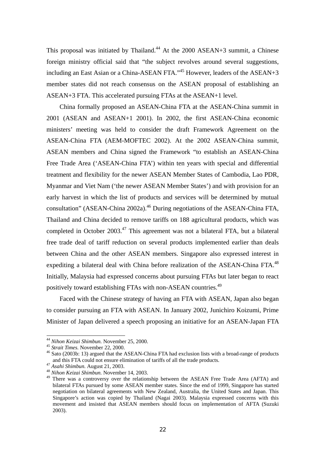This proposal was initiated by Thailand.<sup>44</sup> At the  $2000$  ASEAN+3 summit, a Chinese foreign ministry official said that "the subject revolves around several suggestions, including an East Asian or a China-ASEAN FTA."<sup>45</sup> However, leaders of the ASEAN+3 member states did not reach consensus on the ASEAN proposal of establishing an ASEAN+3 FTA. This accelerated pursuing FTAs at the ASEAN+1 level.

China formally proposed an ASEAN-China FTA at the ASEAN-China summit in 2001 (ASEAN and ASEAN+1 2001). In 2002, the first ASEAN-China economic ministers' meeting was held to consider the draft Framework Agreement on the ASEAN-China FTA (AEM-MOFTEC 2002). At the 2002 ASEAN-China summit, ASEAN members and China signed the Framework "to establish an ASEAN-China Free Trade Area ('ASEAN-China FTA') within ten years with special and differential treatment and flexibility for the newer ASEAN Member States of Cambodia, Lao PDR, Myanmar and Viet Nam ('the newer ASEAN Member States') and with provision for an early harvest in which the list of products and services will be determined by mutual consultation" (ASEAN-China 2002a).<sup>46</sup> During negotiations of the ASEAN-China FTA, Thailand and China decided to remove tariffs on 188 agricultural products, which was completed in October 2003.<sup>47</sup> This agreement was not a bilateral FTA, but a bilateral free trade deal of tariff reduction on several products implemented earlier than deals between China and the other ASEAN members. Singapore also expressed interest in expediting a bilateral deal with China before realization of the ASEAN-China FTA.<sup>48</sup> Initially, Malaysia had expressed concerns about pursuing FTAs but later began to react positively toward establishing FTAs with non-ASEAN countries.49

Faced with the Chinese strategy of having an FTA with ASEAN, Japan also began to consider pursuing an FTA with ASEAN. In January 2002, Junichiro Koizumi, Prime Minister of Japan delivered a speech proposing an initiative for an ASEAN-Japan FTA

<sup>&</sup>lt;sup>44</sup> Nihon Keizai Shimbun. November 25, 2000.

<sup>&</sup>lt;sup>45</sup> *Strait Times*. November 22, 2000.<br><sup>46</sup> Sato (2003b: 13) argued that the ASEAN-China FTA had exclusion lists with a broad-range of products and this FTA could not ensure elimination of tariffs of all the trade products. 47 *Asahi Shimbun.* August 21, 2003. 48 *Nihon Keizai Shimbun.* November 14, 2003.

<sup>&</sup>lt;sup>49</sup> There was a controversy over the relationship between the ASEAN Free Trade Area (AFTA) and bilateral FTAs pursued by some ASEAN member states. Since the end of 1999, Singapore has started negotiation on bilateral agreements with New Zealand, Australia, the United States and Japan. This Singapore's action was copied by Thailand (Nagai 2003). Malaysia expressed concerns with this movement and insisted that ASEAN members should focus on implementation of AFTA (Suzuki 2003).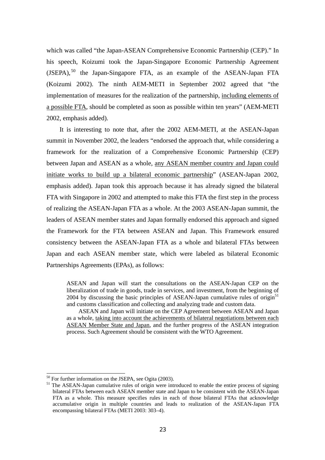which was called "the Japan-ASEAN Comprehensive Economic Partnership (CEP)." In his speech, Koizumi took the Japan-Singapore Economic Partnership Agreement  $(JSEPA)$ ,<sup>50</sup> the Japan-Singapore FTA, as an example of the ASEAN-Japan FTA (Koizumi 2002). The ninth AEM-METI in September 2002 agreed that "the implementation of measures for the realization of the partnership, including elements of a possible FTA, should be completed as soon as possible within ten years" (AEM-METI 2002, emphasis added).

It is interesting to note that, after the 2002 AEM-METI, at the ASEAN-Japan summit in November 2002, the leaders "endorsed the approach that, while considering a framework for the realization of a Comprehensive Economic Partnership (CEP) between Japan and ASEAN as a whole, any ASEAN member country and Japan could initiate works to build up a bilateral economic partnership" (ASEAN-Japan 2002, emphasis added). Japan took this approach because it has already signed the bilateral FTA with Singapore in 2002 and attempted to make this FTA the first step in the process of realizing the ASEAN-Japan FTA as a whole. At the 2003 ASEAN-Japan summit, the leaders of ASEAN member states and Japan formally endorsed this approach and signed the Framework for the FTA between ASEAN and Japan. This Framework ensured consistency between the ASEAN-Japan FTA as a whole and bilateral FTAs between Japan and each ASEAN member state, which were labeled as bilateral Economic Partnerships Agreements (EPAs), as follows:

ASEAN and Japan will start the consultations on the ASEAN-Japan CEP on the liberalization of trade in goods, trade in services, and investment, from the beginning of 2004 by discussing the basic principles of ASEAN-Japan cumulative rules of origin $^{51}$ and customs classification and collecting and analyzing trade and custom data.

ASEAN and Japan will initiate on the CEP Agreement between ASEAN and Japan as a whole, taking into account the achievements of bilateral negotiations between each ASEAN Member State and Japan, and the further progress of the ASEAN integration process. Such Agreement should be consistent with the WTO Agreement.

<sup>&</sup>lt;sup>50</sup> For further information on the JSEPA, see Ogita (2003).

<sup>&</sup>lt;sup>51</sup> The ASEAN-Japan cumulative rules of origin were introduced to enable the entire process of signing bilateral FTAs between each ASEAN member state and Japan to be consistent with the ASEAN-Japan FTA as a whole. This measure specifies rules in each of those bilateral FTAs that acknowledge accumulative origin in multiple countries and leads to realization of the ASEAN-Japan FTA encompassing bilateral FTAs (METI 2003: 303–4).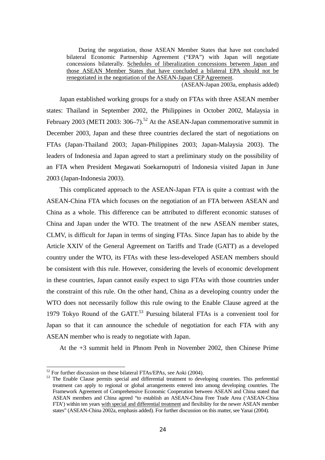During the negotiation, those ASEAN Member States that have not concluded bilateral Economic Partnership Agreement ("EPA") with Japan will negotiate concessions bilaterally. Schedules of liberalization concessions between Japan and those ASEAN Member States that have concluded a bilateral EPA should not be renegotiated in the negotiation of the ASEAN-Japan CEP Agreement.

(ASEAN-Japan 2003a, emphasis added)

Japan established working groups for a study on FTAs with three ASEAN member states: Thailand in September 2002, the Philippines in October 2002, Malaysia in February 2003 (METI 2003:  $306-7$ ).<sup>52</sup> At the ASEAN-Japan commemorative summit in December 2003, Japan and these three countries declared the start of negotiations on FTAs (Japan-Thailand 2003; Japan-Philippines 2003; Japan-Malaysia 2003). The leaders of Indonesia and Japan agreed to start a preliminary study on the possibility of an FTA when President Megawati Soekarnoputri of Indonesia visited Japan in June 2003 (Japan-Indonesia 2003).

This complicated approach to the ASEAN-Japan FTA is quite a contrast with the ASEAN-China FTA which focuses on the negotiation of an FTA between ASEAN and China as a whole. This difference can be attributed to different economic statuses of China and Japan under the WTO. The treatment of the new ASEAN member states, CLMV, is difficult for Japan in terms of singing FTAs. Since Japan has to abide by the Article XXIV of the General Agreement on Tariffs and Trade (GATT) as a developed country under the WTO, its FTAs with these less-developed ASEAN members should be consistent with this rule. However, considering the levels of economic development in these countries, Japan cannot easily expect to sign FTAs with those countries under the constraint of this rule. On the other hand, China as a developing country under the WTO does not necessarily follow this rule owing to the Enable Clause agreed at the 1979 Tokyo Round of the GATT.<sup>53</sup> Pursuing bilateral FTAs is a convenient tool for Japan so that it can announce the schedule of negotiation for each FTA with any ASEAN member who is ready to negotiate with Japan.

At the +3 summit held in Phnom Penh in November 2002, then Chinese Prime

 $52$  For further discussion on these bilateral FTAs/EPAs, see Aoki (2004).

<sup>&</sup>lt;sup>53</sup> The Enable Clause permits special and differential treatment to developing countries. This preferential treatment can apply to regional or global arrangements entered into among developing countries. The Framework Agreement of Comprehensive Economic Cooperation between ASEAN and China stated that ASEAN members and China agreed "to establish an ASEAN-China Free Trade Area ('ASEAN-China FTA') within ten years with special and differential treatment and flexibility for the newer ASEAN member states" (ASEAN-China 2002a, emphasis added). For further discussion on this matter, see Yanai (2004).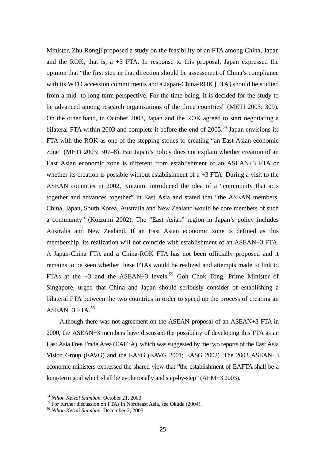Minister, Zhu Rongji proposed a study on the feasibility of an FTA among China, Japan and the ROK, that is,  $a + 3$  FTA. In response to this proposal, Japan expressed the opinion that "the first step in that direction should be assessment of China's compliance with its WTO accession commitments and a Japan-China-ROK [FTA] should be studied from a mid- to long-term perspective. For the time being, it is decided for the study to be advanced among research organizations of the three countries" (METI 2003: 309). On the other hand, in October 2003, Japan and the ROK agreed to start negotiating a bilateral FTA within 2003 and complete it before the end of  $2005$ .<sup>54</sup> Japan envisions its FTA with the ROK as one of the stepping stones to creating "an East Asian economic zone" (METI 2003: 307–8). But Japan's policy does not explain whether creation of an East Asian economic zone is different from establishment of an ASEAN+3 FTA or whether its creation is possible without establishment of a  $+3$  FTA. During a visit to the ASEAN countries in 2002, Koizumi introduced the idea of a "community that acts together and advances together" in East Asia and stated that "the ASEAN members, China, Japan, South Korea, Australia and New Zealand would be core members of such a community" (Koizumi 2002). The "East Asian" region in Japan's policy includes Australia and New Zealand. If an East Asian economic zone is defined as this membership, its realization will not coincide with establishment of an ASEAN+3 FTA. A Japan-China FTA and a China-ROK FTA has not been officially proposed and it remains to be seen whether these FTAs would be realized and attempts made to link to FTAs at the  $+3$  and the ASEAN+3 levels.<sup>55</sup> Goh Chok Tong, Prime Minister of Singapore, urged that China and Japan should seriously consider of establishing a bilateral FTA between the two countries in order to speed up the process of creating an ASEAN $+3$  FTA.<sup>56</sup>

Although there was not agreement on the ASEAN proposal of an ASEAN+3 FTA in 2000, the ASEAN+3 members have discussed the possibility of developing this FTA as an East Asia Free Trade Area (EAFTA), which was suggested by the two reports of the East Asia Vision Group (EAVG) and the EASG (EAVG 2001; EASG 2002). The 2003 ASEAN+3 economic ministers expressed the shared view that "the establishment of EAFTA shall be a long-term goal which shall be evolutionally and step-by-step" (AEM+3 2003).

<sup>&</sup>lt;sup>54</sup> Nihon Keizai Shimbun. October 21, 2003.

<sup>&</sup>lt;sup>55</sup> For further discussion on FTAs in Northeast Asia, see Okuda (2004).

<sup>56</sup> *Nihon Keizai Shimbun.* December 2, 2003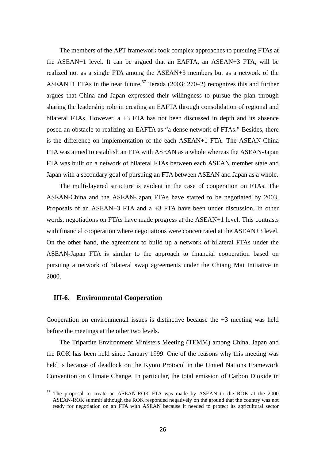The members of the APT framework took complex approaches to pursuing FTAs at the ASEAN+1 level. It can be argued that an EAFTA, an ASEAN+3 FTA, will be realized not as a single FTA among the ASEAN+3 members but as a network of the ASEAN+1 FTAs in the near future.<sup>57</sup> Terada (2003: 270–2) recognizes this and further argues that China and Japan expressed their willingness to pursue the plan through sharing the leadership role in creating an EAFTA through consolidation of regional and bilateral FTAs. However, a +3 FTA has not been discussed in depth and its absence posed an obstacle to realizing an EAFTA as "a dense network of FTAs." Besides, there is the difference on implementation of the each ASEAN+1 FTA. The ASEAN-China FTA was aimed to establish an FTA with ASEAN as a whole whereas the ASEAN-Japan FTA was built on a network of bilateral FTAs between each ASEAN member state and Japan with a secondary goal of pursuing an FTA between ASEAN and Japan as a whole.

The multi-layered structure is evident in the case of cooperation on FTAs. The ASEAN-China and the ASEAN-Japan FTAs have started to be negotiated by 2003. Proposals of an ASEAN+3 FTA and a +3 FTA have been under discussion. In other words, negotiations on FTAs have made progress at the ASEAN+1 level. This contrasts with financial cooperation where negotiations were concentrated at the ASEAN+3 level. On the other hand, the agreement to build up a network of bilateral FTAs under the ASEAN-Japan FTA is similar to the approach to financial cooperation based on pursuing a network of bilateral swap agreements under the Chiang Mai Initiative in 2000.

## **III-6. Environmental Cooperation**

 $\overline{a}$ 

Cooperation on environmental issues is distinctive because the  $+3$  meeting was held before the meetings at the other two levels.

The Tripartite Environment Ministers Meeting (TEMM) among China, Japan and the ROK has been held since January 1999. One of the reasons why this meeting was held is because of deadlock on the Kyoto Protocol in the United Nations Framework Convention on Climate Change. In particular, the total emission of Carbon Dioxide in

<sup>57</sup> The proposal to create an ASEAN-ROK FTA was made by ASEAN to the ROK at the 2000 ASEAN-ROK summit although the ROK responded negatively on the ground that the country was not ready for negotiation on an FTA with ASEAN because it needed to protect its agricultural sector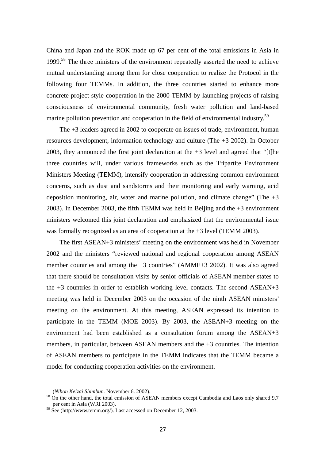China and Japan and the ROK made up 67 per cent of the total emissions in Asia in 1999.<sup>58</sup> The three ministers of the environment repeatedly asserted the need to achieve mutual understanding among them for close cooperation to realize the Protocol in the following four TEMMs. In addition, the three countries started to enhance more concrete project-style cooperation in the 2000 TEMM by launching projects of raising consciousness of environmental community, fresh water pollution and land-based marine pollution prevention and cooperation in the field of environmental industry.<sup>59</sup>

The +3 leaders agreed in 2002 to cooperate on issues of trade, environment, human resources development, information technology and culture (The +3 2002). In October 2003, they announced the first joint declaration at the +3 level and agreed that "[t]he three countries will, under various frameworks such as the Tripartite Environment Ministers Meeting (TEMM), intensify cooperation in addressing common environment concerns, such as dust and sandstorms and their monitoring and early warning, acid deposition monitoring, air, water and marine pollution, and climate change" (The  $+3$ 2003). In December 2003, the fifth TEMM was held in Beijing and the +3 environment ministers welcomed this joint declaration and emphasized that the environmental issue was formally recognized as an area of cooperation at the +3 level (TEMM 2003).

The first ASEAN+3 ministers' meeting on the environment was held in November 2002 and the ministers "reviewed national and regional cooperation among ASEAN member countries and among the +3 countries" (AMME+3 2002). It was also agreed that there should be consultation visits by senior officials of ASEAN member states to the +3 countries in order to establish working level contacts. The second ASEAN+3 meeting was held in December 2003 on the occasion of the ninth ASEAN ministers' meeting on the environment. At this meeting, ASEAN expressed its intention to participate in the TEMM (MOE 2003). By 2003, the ASEAN+3 meeting on the environment had been established as a consultation forum among the ASEAN+3 members, in particular, between ASEAN members and the +3 countries. The intention of ASEAN members to participate in the TEMM indicates that the TEMM became a model for conducting cooperation activities on the environment.

-

<sup>(</sup>*Nihon Keizai Shimbun.* November 6. 2002). 58 On the other hand, the total emission of ASEAN members except Cambodia and Laos only shared 9.7 per cent in Asia (WRI 2003).

 $59$  See (http://www.temm.org/). Last accessed on December 12, 2003.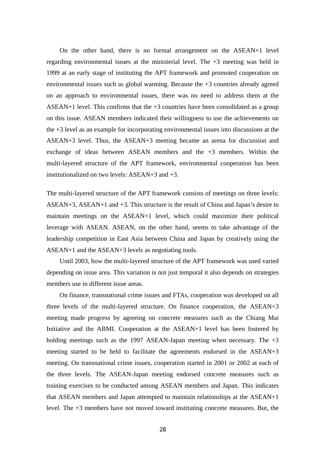On the other hand, there is no formal arrangement on the ASEAN+1 level regarding environmental issues at the ministerial level. The  $+3$  meeting was held in 1999 at an early stage of instituting the APT framework and promoted cooperation on environmental issues such as global warming. Because the +3 countries already agreed on an approach to environmental issues, there was no need to address them at the ASEAN+1 level. This confirms that the  $+3$  countries have been consolidated as a group on this issue. ASEAN members indicated their willingness to use the achievements on the +3 level as an example for incorporating environmental issues into discussions at the ASEAN+3 level. Thus, the ASEAN+3 meeting became an arena for discussion and exchange of ideas between ASEAN members and the +3 members. Within the multi-layered structure of the APT framework, environmental cooperation has been institutionalized on two levels: ASEAN+3 and +3.

The multi-layered structure of the APT framework consists of meetings on three levels: ASEAN+3, ASEAN+1 and +3. This structure is the result of China and Japan's desire to maintain meetings on the ASEAN+1 level, which could maximize their political leverage with ASEAN. ASEAN, on the other hand, seems to take advantage of the leadership competition in East Asia between China and Japan by creatively using the ASEAN+1 and the ASEAN+3 levels as negotiating tools.

Until 2003, how the multi-layered structure of the APT framework was used varied depending on issue area. This variation is not just temporal it also depends on strategies members use in different issue areas.

On finance, transnational crime issues and FTAs, cooperation was developed on all three levels of the multi-layered structure. On finance cooperation, the ASEAN+3 meeting made progress by agreeing on concrete measures such as the Chiang Mai Initiative and the ABMI. Cooperation at the ASEAN+1 level has been fostered by holding meetings such as the 1997 ASEAN-Japan meeting when necessary. The  $+3$ meeting started to be held to facilitate the agreements endorsed in the ASEAN+3 meeting. On transnational crime issues, cooperation started in 2001 or 2002 at each of the three levels. The ASEAN-Japan meeting endorsed concrete measures such as training exercises to be conducted among ASEAN members and Japan. This indicates that ASEAN members and Japan attempted to maintain relationships at the ASEAN+1 level. The +3 members have not moved toward instituting concrete measures. But, the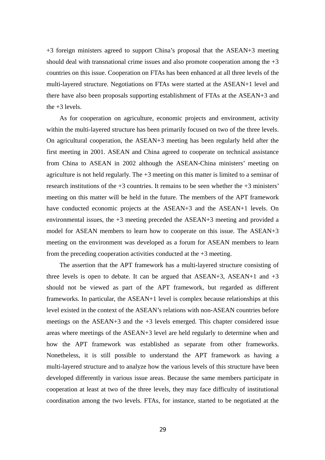+3 foreign ministers agreed to support China's proposal that the ASEAN+3 meeting should deal with transnational crime issues and also promote cooperation among the  $+3$ countries on this issue. Cooperation on FTAs has been enhanced at all three levels of the multi-layered structure. Negotiations on FTAs were started at the ASEAN+1 level and there have also been proposals supporting establishment of FTAs at the ASEAN+3 and the  $+3$  levels.

As for cooperation on agriculture, economic projects and environment, activity within the multi-layered structure has been primarily focused on two of the three levels. On agricultural cooperation, the ASEAN+3 meeting has been regularly held after the first meeting in 2001. ASEAN and China agreed to cooperate on technical assistance from China to ASEAN in 2002 although the ASEAN-China ministers' meeting on agriculture is not held regularly. The  $+3$  meeting on this matter is limited to a seminar of research institutions of the +3 countries. It remains to be seen whether the +3 ministers' meeting on this matter will be held in the future. The members of the APT framework have conducted economic projects at the ASEAN+3 and the ASEAN+1 levels. On environmental issues, the +3 meeting preceded the ASEAN+3 meeting and provided a model for ASEAN members to learn how to cooperate on this issue. The ASEAN+3 meeting on the environment was developed as a forum for ASEAN members to learn from the preceding cooperation activities conducted at the  $+3$  meeting.

The assertion that the APT framework has a multi-layered structure consisting of three levels is open to debate. It can be argued that  $ASEAN+3$ ,  $ASEAN+1$  and  $+3$ should not be viewed as part of the APT framework, but regarded as different frameworks. In particular, the ASEAN+1 level is complex because relationships at this level existed in the context of the ASEAN's relations with non-ASEAN countries before meetings on the ASEAN+3 and the +3 levels emerged. This chapter considered issue areas where meetings of the ASEAN+3 level are held regularly to determine when and how the APT framework was established as separate from other frameworks. Nonetheless, it is still possible to understand the APT framework as having a multi-layered structure and to analyze how the various levels of this structure have been developed differently in various issue areas. Because the same members participate in cooperation at least at two of the three levels, they may face difficulty of institutional coordination among the two levels. FTAs, for instance, started to be negotiated at the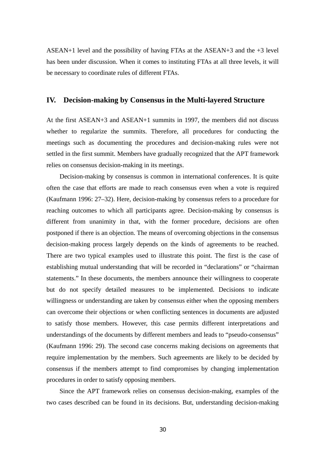ASEAN+1 level and the possibility of having FTAs at the ASEAN+3 and the +3 level has been under discussion. When it comes to instituting FTAs at all three levels, it will be necessary to coordinate rules of different FTAs.

## **IV. Decision-making by Consensus in the Multi-layered Structure**

At the first ASEAN+3 and ASEAN+1 summits in 1997, the members did not discuss whether to regularize the summits. Therefore, all procedures for conducting the meetings such as documenting the procedures and decision-making rules were not settled in the first summit. Members have gradually recognized that the APT framework relies on consensus decision-making in its meetings.

Decision-making by consensus is common in international conferences. It is quite often the case that efforts are made to reach consensus even when a vote is required (Kaufmann 1996: 27–32). Here, decision-making by consensus refers to a procedure for reaching outcomes to which all participants agree. Decision-making by consensus is different from unanimity in that, with the former procedure, decisions are often postponed if there is an objection. The means of overcoming objections in the consensus decision-making process largely depends on the kinds of agreements to be reached. There are two typical examples used to illustrate this point. The first is the case of establishing mutual understanding that will be recorded in "declarations" or "chairman statements." In these documents, the members announce their willingness to cooperate but do not specify detailed measures to be implemented. Decisions to indicate willingness or understanding are taken by consensus either when the opposing members can overcome their objections or when conflicting sentences in documents are adjusted to satisfy those members. However, this case permits different interpretations and understandings of the documents by different members and leads to "pseudo-consensus" (Kaufmann 1996: 29). The second case concerns making decisions on agreements that require implementation by the members. Such agreements are likely to be decided by consensus if the members attempt to find compromises by changing implementation procedures in order to satisfy opposing members.

Since the APT framework relies on consensus decision-making, examples of the two cases described can be found in its decisions. But, understanding decision-making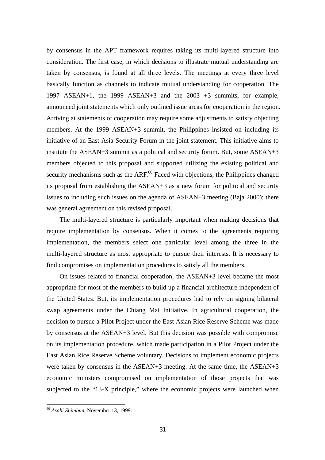by consensus in the APT framework requires taking its multi-layered structure into consideration. The first case, in which decisions to illustrate mutual understanding are taken by consensus, is found at all three levels. The meetings at every three level basically function as channels to indicate mutual understanding for cooperation. The 1997 ASEAN+1, the 1999 ASEAN+3 and the 2003 +3 summits, for example, announced joint statements which only outlined issue areas for cooperation in the region. Arriving at statements of cooperation may require some adjustments to satisfy objecting members. At the 1999 ASEAN+3 summit, the Philippines insisted on including its initiative of an East Asia Security Forum in the joint statement. This initiative aims to institute the ASEAN+3 summit as a political and security forum. But, some ASEAN+3 members objected to this proposal and supported utilizing the existing political and security mechanisms such as the  $ARF<sup>60</sup>$  Faced with objections, the Philippines changed its proposal from establishing the ASEAN+3 as a new forum for political and security issues to including such issues on the agenda of ASEAN+3 meeting (Baja 2000); there was general agreement on this revised proposal.

The multi-layered structure is particularly important when making decisions that require implementation by consensus. When it comes to the agreements requiring implementation, the members select one particular level among the three in the multi-layered structure as most appropriate to pursue their interests. It is necessary to find compromises on implementation procedures to satisfy all the members.

On issues related to financial cooperation, the ASEAN+3 level became the most appropriate for most of the members to build up a financial architecture independent of the United States. But, its implementation procedures had to rely on signing bilateral swap agreements under the Chiang Mai Initiative. In agricultural cooperation, the decision to pursue a Pilot Project under the East Asian Rice Reserve Scheme was made by consensus at the ASEAN+3 level. But this decision was possible with compromise on its implementation procedure, which made participation in a Pilot Project under the East Asian Rice Reserve Scheme voluntary. Decisions to implement economic projects were taken by consensus in the ASEAN+3 meeting. At the same time, the ASEAN+3 economic ministers compromised on implementation of those projects that was subjected to the "13-X principle," where the economic projects were launched when

<sup>60</sup> *Asahi Shimbun.* November 13, 1999.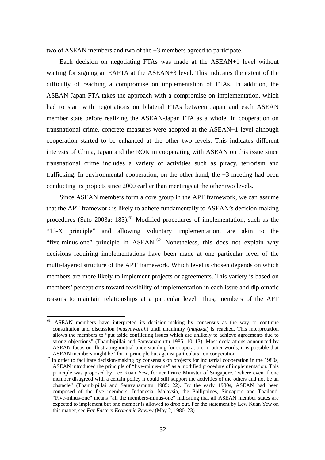two of ASEAN members and two of the +3 members agreed to participate.

Each decision on negotiating FTAs was made at the ASEAN+1 level without waiting for signing an EAFTA at the ASEAN+3 level. This indicates the extent of the difficulty of reaching a compromise on implementation of FTAs. In addition, the ASEAN-Japan FTA takes the approach with a compromise on implementation, which had to start with negotiations on bilateral FTAs between Japan and each ASEAN member state before realizing the ASEAN-Japan FTA as a whole. In cooperation on transnational crime, concrete measures were adopted at the ASEAN+1 level although cooperation started to be enhanced at the other two levels. This indicates different interests of China, Japan and the ROK in cooperating with ASEAN on this issue since transnational crime includes a variety of activities such as piracy, terrorism and trafficking. In environmental cooperation, on the other hand, the +3 meeting had been conducting its projects since 2000 earlier than meetings at the other two levels.

Since ASEAN members form a core group in the APT framework, we can assume that the APT framework is likely to adhere fundamentally to ASEAN's decision-making procedures (Sato 2003a: 183).<sup>61</sup> Modified procedures of implementation, such as the "13-X principle" and allowing voluntary implementation, are akin to the "five-minus-one" principle in  $ASEAN$ .<sup>62</sup> Nonetheless, this does not explain why decisions requiring implementations have been made at one particular level of the multi-layered structure of the APT framework. Which level is chosen depends on which members are more likely to implement projects or agreements. This variety is based on members' perceptions toward feasibility of implementation in each issue and diplomatic reasons to maintain relationships at a particular level. Thus, members of the APT

<sup>&</sup>lt;sup>61</sup> ASEAN members have interpreted its decision-making by consensus as the way to continue consultation and discussion (*musyawarah*) until unanimity (*mufakat*) is reached. This interpretation allows the members to "put aside conflicting issues which are unlikely to achieve agreements due to strong objections" (Thambipillai and Saravanamuttu 1985: 10–13). Most declarations announced by ASEAN focus on illustrating mutual understanding for cooperation. In other words, it is possible that

ASEAN members might be "for in principle but against particulars" on cooperation.<br><sup>62</sup> In order to facilitate decision-making by consensus on projects for industrial cooperation in the 1980s, ASEAN introduced the principle of "five-minus-one" as a modified procedure of implementation. This principle was proposed by Lee Kuan Yew, former Prime Minister of Singapore, "where even if one member disagreed with a certain policy it could still support the activities of the others and not be an obstacle" (Thambipillai and Saravanamuttu 1985: 22). By the early 1980s, ASEAN had been composed of the five members: Indonesia, Malaysia, the Philippines, Singapore and Thailand. "Five-minus-one" means "all the members-minus-one" indicating that all ASEAN member states are expected to implement but one member is allowed to drop out. For the statement by Lew Kuan Yew on this matter, see *Far Eastern Economic Review* (May 2, 1980: 23).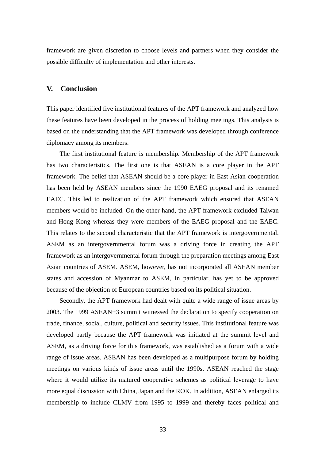framework are given discretion to choose levels and partners when they consider the possible difficulty of implementation and other interests.

# **V. Conclusion**

This paper identified five institutional features of the APT framework and analyzed how these features have been developed in the process of holding meetings. This analysis is based on the understanding that the APT framework was developed through conference diplomacy among its members.

The first institutional feature is membership. Membership of the APT framework has two characteristics. The first one is that ASEAN is a core player in the APT framework. The belief that ASEAN should be a core player in East Asian cooperation has been held by ASEAN members since the 1990 EAEG proposal and its renamed EAEC. This led to realization of the APT framework which ensured that ASEAN members would be included. On the other hand, the APT framework excluded Taiwan and Hong Kong whereas they were members of the EAEG proposal and the EAEC. This relates to the second characteristic that the APT framework is intergovernmental. ASEM as an intergovernmental forum was a driving force in creating the APT framework as an intergovernmental forum through the preparation meetings among East Asian countries of ASEM. ASEM, however, has not incorporated all ASEAN member states and accession of Myanmar to ASEM, in particular, has yet to be approved because of the objection of European countries based on its political situation.

Secondly, the APT framework had dealt with quite a wide range of issue areas by 2003. The 1999 ASEAN+3 summit witnessed the declaration to specify cooperation on trade, finance, social, culture, political and security issues. This institutional feature was developed partly because the APT framework was initiated at the summit level and ASEM, as a driving force for this framework, was established as a forum with a wide range of issue areas. ASEAN has been developed as a multipurpose forum by holding meetings on various kinds of issue areas until the 1990s. ASEAN reached the stage where it would utilize its matured cooperative schemes as political leverage to have more equal discussion with China, Japan and the ROK. In addition, ASEAN enlarged its membership to include CLMV from 1995 to 1999 and thereby faces political and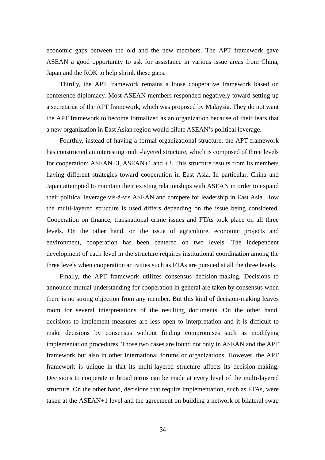economic gaps between the old and the new members. The APT framework gave ASEAN a good opportunity to ask for assistance in various issue areas from China, Japan and the ROK to help shrink these gaps.

Thirdly, the APT framework remains a loose cooperative framework based on conference diplomacy. Most ASEAN members responded negatively toward setting up a secretariat of the APT framework, which was proposed by Malaysia. They do not want the APT framework to become formalized as an organization because of their fears that a new organization in East Asian region would dilute ASEAN's political leverage.

Fourthly, instead of having a formal organizational structure, the APT framework has constructed an interesting multi-layered structure, which is composed of three levels for cooperation: ASEAN+3, ASEAN+1 and +3. This structure results from its members having different strategies toward cooperation in East Asia. In particular, China and Japan attempted to maintain their existing relationships with ASEAN in order to expand their political leverage vis-à-vis ASEAN and compete for leadership in East Asia. How the multi-layered structure is used differs depending on the issue being considered. Cooperation on finance, transnational crime issues and FTAs took place on all three levels. On the other hand, on the issue of agriculture, economic projects and environment, cooperation has been centered on two levels. The independent development of each level in the structure requires institutional coordination among the three levels when cooperation activities such as FTAs are pursued at all the three levels.

Finally, the APT framework utilizes consensus decision-making. Decisions to announce mutual understanding for cooperation in general are taken by consensus when there is no strong objection from any member. But this kind of decision-making leaves room for several interpretations of the resulting documents. On the other hand, decisions to implement measures are less open to interpretation and it is difficult to make decisions by consensus without finding compromises such as modifying implementation procedures. Those two cases are found not only in ASEAN and the APT framework but also in other international forums or organizations. However, the APT framework is unique in that its multi-layered structure affects its decision-making. Decisions to cooperate in broad terms can be made at every level of the multi-layered structure. On the other hand, decisions that require implementation, such as FTAs, were taken at the ASEAN+1 level and the agreement on building a network of bilateral swap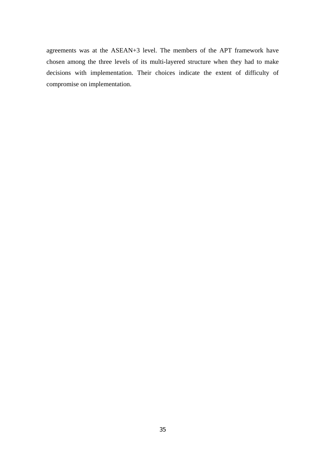agreements was at the ASEAN+3 level. The members of the APT framework have chosen among the three levels of its multi-layered structure when they had to make decisions with implementation. Their choices indicate the extent of difficulty of compromise on implementation.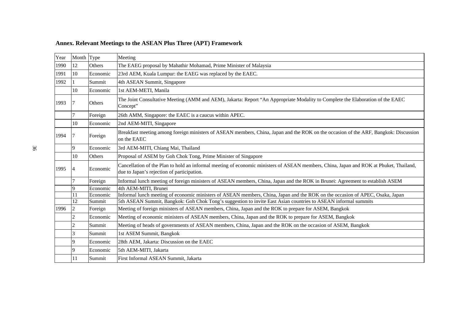# **Annex. Relevant Meetings to the ASEAN Plus Three (APT) Framework**

| Year | Month Type     |          | Meeting                                                                                                                                                                              |
|------|----------------|----------|--------------------------------------------------------------------------------------------------------------------------------------------------------------------------------------|
| 1990 | 12             | Others   | The EAEG proposal by Mahathir Mohamad, Prime Minister of Malaysia                                                                                                                    |
| 1991 | 10             | Economic | 23rd AEM, Kuala Lumpur: the EAEG was replaced by the EAEC.                                                                                                                           |
| 1992 |                | Summit   | 4th ASEAN Summit, Singapore                                                                                                                                                          |
|      | 10             | Economic | 1st AEM-METI, Manila                                                                                                                                                                 |
| 1993 |                | Others   | The Joint Consultative Meeting (AMM and AEM), Jakarta: Report "An Appropriate Modality to Complete the Elaboration of the EAEC<br>Concept"                                           |
|      |                | Foreign  | 26th AMM, Singapore: the EAEC is a caucus within APEC.                                                                                                                               |
|      | 10             | Economic | 2nd AEM-MITI, Singapore                                                                                                                                                              |
| 1994 |                | Foreign  | Breakfast meeting among foreign ministers of ASEAN members, China, Japan and the ROK on the occasion of the ARF, Bangkok: Discussion<br>on the EAEC                                  |
|      | 9              | Economic | 3rd AEM-MITI, Chiang Mai, Thailand                                                                                                                                                   |
|      | 10             | Others   | Proposal of ASEM by Goh Chok Tong, Prime Minister of Singapore                                                                                                                       |
| 1995 |                | Economic | Cancellation of the Plan to hold an informal meeting of economic ministers of ASEAN members, China, Japan and ROK at Phuket, Thailand,<br>due to Japan's rejection of participation. |
|      |                | Foreign  | Informal lunch meeting of foreign ministers of ASEAN members, China, Japan and the ROK in Brunei: Agreement to establish ASEM                                                        |
|      | 9              | Economic | 4th AEM-MITI, Brunei                                                                                                                                                                 |
|      | 11             | Economic | Informal lunch meeting of economic ministers of ASEAN members, China, Japan and the ROK on the occasion of APEC, Osaka, Japan                                                        |
|      | 12             | Summit   | 5th ASEAN Summit, Bangkok: Goh Chok Tong's suggestion to invite East Asian countries to ASEAN informal summits                                                                       |
| 1996 | $\overline{2}$ | Foreign  | Meeting of foreign ministers of ASEAN members, China, Japan and the ROK to prepare for ASEM, Bangkok                                                                                 |
|      | $\overline{c}$ | Economic | Meeting of economic ministers of ASEAN members, China, Japan and the ROK to prepare for ASEM, Bangkok                                                                                |
|      | $\overline{2}$ | Summit   | Meeting of heads of governments of ASEAN members, China, Japan and the ROK on the occasion of ASEM, Bangkok                                                                          |
|      | 3              | Summit   | 1st ASEM Summit, Bangkok                                                                                                                                                             |
|      | 9              | Economic | 28th AEM, Jakarta: Discussion on the EAEC                                                                                                                                            |
|      | 9              | Economic | 5th AEM-MITI, Jakarta                                                                                                                                                                |
|      | 11             | Summit   | First Informal ASEAN Summit, Jakarta                                                                                                                                                 |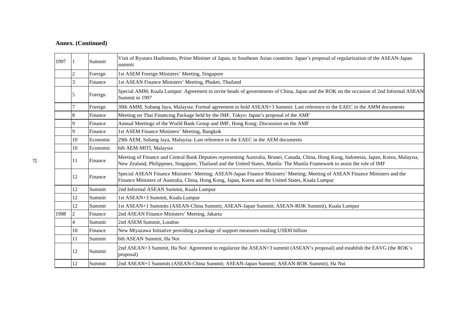| 1997 |                | Summit   | Visit of Ryutaro Hashimoto, Prime Minister of Japan, to Southeast Asian countries: Japan's proposal of regularization of the ASEAN-Japan<br>summit                                                                                                                       |
|------|----------------|----------|--------------------------------------------------------------------------------------------------------------------------------------------------------------------------------------------------------------------------------------------------------------------------|
|      |                | Foreign  | 1st ASEM Foreign Ministers' Meeting, Singapore                                                                                                                                                                                                                           |
|      | 3              | Finance  | 1st ASEAN Finance Ministers' Meeting, Phuket, Thailand                                                                                                                                                                                                                   |
|      | 5              | Foreign  | Special AMM, Kuala Lumpur: Agreement to invite heads of governments of China, Japan and the ROK on the occasion of 2nd Informal ASEAN<br>Summit in 1997                                                                                                                  |
|      | 7              | Foreign  | 30th AMM, Subang Jaya, Malaysia: Formal agreement to hold ASEAN+3 Summit: Last reference to the EAEC in the AMM documents                                                                                                                                                |
|      | 8              | Finance  | Meeting on Thai Financing Package held by the IMF, Tokyo: Japan's proposal of the AMF                                                                                                                                                                                    |
|      | 9              | Finance  | Annual Meetings of the World Bank Group and IMF, Hong Kong: Discussion on the AMF                                                                                                                                                                                        |
|      | 9              | Finance  | 1st ASEM Finance Ministers' Meeting, Bangkok                                                                                                                                                                                                                             |
|      | 10             | Economic | 29th AEM, Subang Jaya, Malaysia: Last reference to the EAEC in the AEM documents                                                                                                                                                                                         |
|      | 10             | Economic | 6th AEM-MITI, Malaysia                                                                                                                                                                                                                                                   |
|      | 11             | Finance  | Meeting of Finance and Central Bank Deputies representing Australia, Brunei, Canada, China, Hong Kong, Indonesia, Japan, Korea, Malaysia,<br>New Zealand, Philippines, Singapore, Thailand and the United States, Manila: The Manila Framework to assist the role of IMF |
|      | 12             | Finance  | Special ASEAN Finance Ministers' Meeting; ASEAN-Japan Finance Ministers' Meeting; Meeting of ASEAN Finance Ministers and the<br>Finance Ministers of Australia, China, Hong Kong, Japan, Korea and the United States, Kuala Lumpur                                       |
|      | 12             | Summit   | 2nd Informal ASEAN Summit, Kuala Lumpur                                                                                                                                                                                                                                  |
|      | 12             | Summit   | 1st ASEAN+3 Summit, Kuala Lumpur                                                                                                                                                                                                                                         |
|      | 12             | Summit   | 1st ASEAN+1 Summits (ASEAN-China Summit; ASEAN-Japan Summit; ASEAN-ROK Summit), Kuala Lumpur                                                                                                                                                                             |
| 1998 | 2              | Finance  | 2nd ASEAN Finance Ministers' Meeting, Jakarta                                                                                                                                                                                                                            |
|      | $\overline{4}$ | Summit   | 2nd ASEM Summit, London                                                                                                                                                                                                                                                  |
|      | 10             | Finance  | New Miyazawa Initiative providing a package of support measures totaling US\$30 billion                                                                                                                                                                                  |
|      | 11             | Summit   | 6th ASEAN Summit, Ha Noi                                                                                                                                                                                                                                                 |
|      | 12             | Summit   | 2nd ASEAN+3 Summit, Ha Noi: Agreement to regularize the ASEAN+3 summit (ASEAN's proposal) and establish the EAVG (the ROK's<br>proposal)                                                                                                                                 |
|      | 12             | Summit   | 2nd ASEAN+1 Summits (ASEAN-China Summit; ASEAN-Japan Summit; ASEAN-ROK Summit), Ha Noi                                                                                                                                                                                   |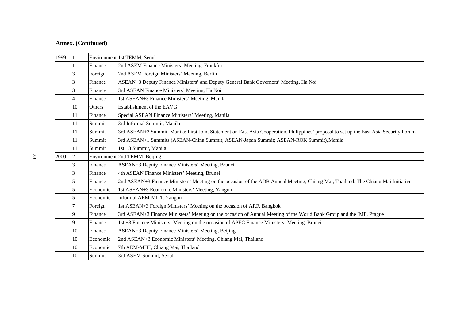| 1999 |                |          | Environment 1st TEMM, Seoul                                                                                                              |
|------|----------------|----------|------------------------------------------------------------------------------------------------------------------------------------------|
|      |                | Finance  | 2nd ASEM Finance Ministers' Meeting, Frankfurt                                                                                           |
|      | 3              | Foreign  | 2nd ASEM Foreign Ministers' Meeting, Berlin                                                                                              |
|      | 3              | Finance  | ASEAN+3 Deputy Finance Ministers' and Deputy General Bank Governors' Meeting, Ha Noi                                                     |
|      | 3              | Finance  | 3rd ASEAN Finance Ministers' Meeting, Ha Noi                                                                                             |
|      | $\overline{4}$ | Finance  | 1st ASEAN+3 Finance Ministers' Meeting, Manila                                                                                           |
|      | 10             | Others   | Establishment of the EAVG                                                                                                                |
|      | 11             | Finance  | Special ASEAN Finance Ministers' Meeting, Manila                                                                                         |
|      | 11             | Summit   | 3rd Informal Summit, Manila                                                                                                              |
|      | 11             | Summit   | 3rd ASEAN+3 Summit, Manila: First Joint Statement on East Asia Cooperation, Philippines' proposal to set up the East Asia Security Forum |
|      | 11             | Summit   | 3rd ASEAN+1 Summits (ASEAN-China Summit; ASEAN-Japan Summit; ASEAN-ROK Summit), Manila                                                   |
|      | 11             | Summit   | 1st +3 Summit, Manila                                                                                                                    |
| 2000 | $\overline{c}$ |          | Environment 2nd TEMM, Beijing                                                                                                            |
|      | 3              | Finance  | ASEAN+3 Deputy Finance Ministers' Meeting, Brunei                                                                                        |
|      | 3              | Finance  | 4th ASEAN Finance Ministers' Meeting, Brunei                                                                                             |
|      | 5              | Finance  | 2nd ASEAN+3 Finance Ministers' Meeting on the occasion of the ADB Annual Meeting, Chiang Mai, Thailand: The Chiang Mai Initiative        |
|      | 5              | Economic | 1st ASEAN+3 Economic Ministers' Meeting, Yangon                                                                                          |
|      | 5              | Economic | Informal AEM-MITI, Yangon                                                                                                                |
|      |                | Foreign  | 1st ASEAN+3 Foreign Ministers' Meeting on the occasion of ARF, Bangkok                                                                   |
|      | 9              | Finance  | 3rd ASEAN+3 Finance Ministers' Meeting on the occasion of Annual Meeting of the World Bank Group and the IMF, Prague                     |
|      | 9              | Finance  | 1st +3 Finance Ministers' Meeting on the occasion of APEC Finance Ministers' Meeting, Brunei                                             |
|      | 10             | Finance  | ASEAN+3 Deputy Finance Ministers' Meeting, Beijing                                                                                       |
|      | 10             | Economic | 2nd ASEAN+3 Economic Ministers' Meeting, Chiang Mai, Thailand                                                                            |
|      | 10             | Economic | 7th AEM-MITI, Chiang Mai, Thailand                                                                                                       |
|      | 10             | Summit   | 3rd ASEM Summit, Seoul                                                                                                                   |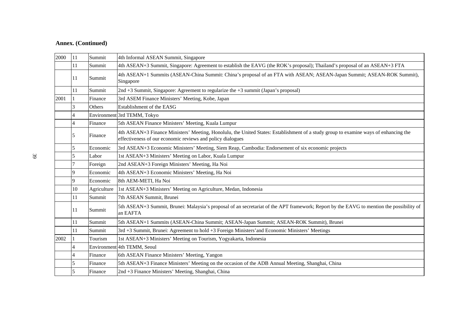| 2000 | 11 | Summit      | 4th Informal ASEAN Summit, Singapore                                                                                                                                                               |
|------|----|-------------|----------------------------------------------------------------------------------------------------------------------------------------------------------------------------------------------------|
|      | 11 | Summit      | 4th ASEAN+3 Summit, Singapore: Agreement to establish the EAVG (the ROK's proposal); Thailand's proposal of an ASEAN+3 FTA                                                                         |
|      | 11 | Summit      | 4th ASEAN+1 Summits (ASEAN-China Summit: China's proposal of an FTA with ASEAN; ASEAN-Japan Summit; ASEAN-ROK Summit),<br>Singapore                                                                |
|      | 11 | Summit      | 2nd +3 Summit, Singapore: Agreement to regularize the $+3$ summit (Japan's proposal)                                                                                                               |
| 2001 |    | Finance     | 3rd ASEM Finance Ministers' Meeting, Kobe, Japan                                                                                                                                                   |
|      | 3  | Others      | Establishment of the EASG                                                                                                                                                                          |
|      | 4  |             | Environment 3rd TEMM, Tokyo                                                                                                                                                                        |
|      | 4  | Finance     | 5th ASEAN Finance Ministers' Meeting, Kuala Lumpur                                                                                                                                                 |
|      | 5  | Finance     | 4th ASEAN+3 Finance Ministers' Meeting, Honolulu, the United States: Establishment of a study group to examine ways of enhancing the<br>effectiveness of our economic reviews and policy dialogues |
|      | 5  | Economic    | 3rd ASEAN+3 Economic Ministers' Meeting, Siem Reap, Cambodia: Endorsement of six economic projects                                                                                                 |
|      | 5  | Labor       | 1st ASEAN+3 Ministers' Meeting on Labor, Kuala Lumpur                                                                                                                                              |
|      |    | Foreign     | 2nd ASEAN+3 Foreign Ministers' Meeting, Ha Noi                                                                                                                                                     |
|      | 9  | Economic    | 4th ASEAN+3 Economic Ministers' Meeting, Ha Noi                                                                                                                                                    |
|      | 9  | Economic    | 8th AEM-METI, Ha Noi                                                                                                                                                                               |
|      | 10 | Agriculture | 1st ASEAN+3 Ministers' Meeting on Agriculture, Medan, Indonesia                                                                                                                                    |
|      | 11 | Summit      | 7th ASEAN Summit, Brunei                                                                                                                                                                           |
|      | 11 | Summit      | 5th ASEAN+3 Summit, Brunei: Malaysia's proposal of an secretariat of the APT framework; Report by the EAVG to mention the possibility of<br>an EAFTA                                               |
|      | 11 | Summit      | 5th ASEAN+1 Summits (ASEAN-China Summit; ASEAN-Japan Summit; ASEAN-ROK Summit), Brunei                                                                                                             |
|      | 11 | Summit      | 3rd +3 Summit, Brunei: Agreement to hold +3 Foreign Ministers' and Economic Ministers' Meetings                                                                                                    |
| 2002 |    | Tourism     | 1st ASEAN+3 Ministers' Meeting on Tourism, Yogyakarta, Indonesia                                                                                                                                   |
|      |    |             | Environment 4th TEMM, Seoul                                                                                                                                                                        |
|      | 4  | Finance     | 6th ASEAN Finance Ministers' Meeting, Yangon                                                                                                                                                       |
|      | 5  | Finance     | 5th ASEAN+3 Finance Ministers' Meeting on the occasion of the ADB Annual Meeting, Shanghai, China                                                                                                  |
|      | 5  | Finance     | 2nd +3 Finance Ministers' Meeting, Shanghai, China                                                                                                                                                 |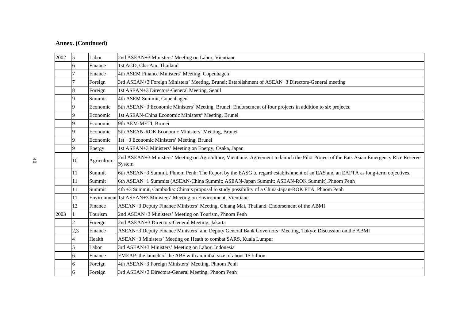| 2002 | 5              | Labor       | 2nd ASEAN+3 Ministers' Meeting on Labor, Vientiane                                                                                                 |
|------|----------------|-------------|----------------------------------------------------------------------------------------------------------------------------------------------------|
|      | 6              | Finance     | 1st ACD, Cha-Am, Thailand                                                                                                                          |
|      |                | Finance     | 4th ASEM Finance Ministers' Meeting, Copenhagen                                                                                                    |
|      |                | Foreign     | 3rd ASEAN+3 Foreign Ministers' Meeting, Brunei: Establishment of ASEAN+3 Directors-General meeting                                                 |
|      | 8              | Foreign     | 1st ASEAN+3 Directors-General Meeting, Seoul                                                                                                       |
|      | 9              | Summit      | 4th ASEM Summit, Copenhagen                                                                                                                        |
|      | 9              | Economic    | 5th ASEAN+3 Economic Ministers' Meeting, Brunei: Endorsement of four projects in addition to six projects.                                         |
|      | 9              | Economic    | 1st ASEAN-China Economic Ministers' Meeting, Brunei                                                                                                |
|      | 9              | Economic    | 9th AEM-METI, Brunei                                                                                                                               |
|      | 9              | Economic    | 5th ASEAN-ROK Economic Ministers' Meeting, Brunei                                                                                                  |
|      | 9              | Economic    | 1st +3 Economic Ministers' Meeting, Brunei                                                                                                         |
|      | 9              | Energy      | 1st ASEAN+3 Ministers' Meeting on Energy, Osaka, Japan                                                                                             |
|      | 10             | Agriculture | 2nd ASEAN+3 Ministers' Meeting on Agriculture, Vientiane: Agreement to launch the Pilot Project of the Eats Asian Emergency Rice Reserve<br>System |
|      | 11             | Summit      | 6th ASEAN+3 Summit, Phnom Penh: The Report by the EASG to regard establishment of an EAS and an EAFTA as long-term objectives.                     |
|      | 11             | Summit      | 6th ASEAN+1 Summits (ASEAN-China Summit; ASEAN-Japan Summit; ASEAN-ROK Summit), Phnom Penh                                                         |
|      | 11             | Summit      | 4th +3 Summit, Cambodia: China's proposal to study possibility of a China-Japan-ROK FTA, Phnom Penh                                                |
|      | 11             |             | Environment 1st ASEAN+3 Ministers' Meeting on Environment, Vientiane                                                                               |
|      | 12             | Finance     | ASEAN+3 Deputy Finance Ministers' Meeting, Chiang Mai, Thailand: Endorsement of the ABMI                                                           |
| 2003 |                | Tourism     | 2nd ASEAN+3 Ministers' Meeting on Tourism, Phnom Penh                                                                                              |
|      | $\overline{c}$ | Foreign     | 2nd ASEAN+3 Directors-General Meeting, Jakarta                                                                                                     |
|      | 2,3            | Finance     | ASEAN+3 Deputy Finance Ministers' and Deputy General Bank Governors' Meeting, Tokyo: Discussion on the ABMI                                        |
|      | 4              | Health      | ASEAN+3 Ministers' Meeting on Heath to combat SARS, Kuala Lumpur                                                                                   |
|      | 5              | Labor       | 3rd ASEAN+3 Ministers' Meeting on Labor, Indonesia                                                                                                 |
|      | 6              | Finance     | EMEAP: the launch of the ABF with an initial size of about 1\$ billion                                                                             |
|      | 6              | Foreign     | 4th ASEAN+3 Foreign Ministers' Meeting, Phnom Penh                                                                                                 |
|      | 6              | Foreign     | 3rd ASEAN+3 Directors-General Meeting, Phnom Penh                                                                                                  |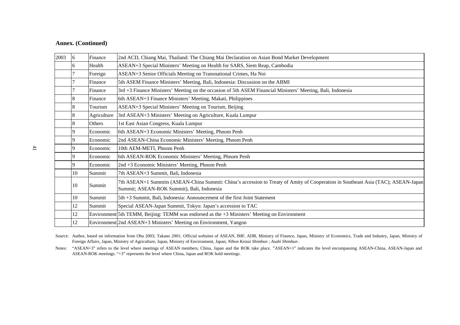| 2003 | 6  | Finance     | 2nd ACD, Chiang Mai, Thailand: The Chiang Mai Declaration on Asian Bond Market Development                                                                                      |
|------|----|-------------|---------------------------------------------------------------------------------------------------------------------------------------------------------------------------------|
|      |    | Health      | ASEAN+3 Special Ministers' Meeting on Health for SARS, Siem Reap, Cambodia                                                                                                      |
|      |    | Foreign     | ASEAN+3 Senior Officials Meeting on Transnational Crimes, Ha Noi                                                                                                                |
|      |    | Finance     | 5th ASEM Finance Ministers' Meeting, Bali, Indonesia: Discussion on the ABMI                                                                                                    |
|      |    | Finance     | 3rd +3 Finance Ministers' Meeting on the occasion of 5th ASEM Financial Ministers' Meeting, Bali, Indonesia                                                                     |
|      | 8  | Finance     | 6th ASEAN+3 Finance Ministers' Meeting, Makati, Philippines                                                                                                                     |
|      |    | Tourism     | ASEAN+3 Special Ministers' Meeting on Tourism, Beijing                                                                                                                          |
|      |    | Agriculture | 3rd ASEAN+3 Ministers' Meeting on Agriculture, Kuala Lumpur                                                                                                                     |
|      | 8  | Others      | 1st East Asian Congress, Kuala Lumpur                                                                                                                                           |
|      | 9  | Economic    | 6th ASEAN+3 Economic Ministers' Meeting, Phnom Penh                                                                                                                             |
|      | 9  | Economic    | 2nd ASEAN-China Economic Ministers' Meeting, Phnom Penh                                                                                                                         |
|      |    | Economic    | 10th AEM-METI, Phnom Penh                                                                                                                                                       |
|      | 9  | Economic    | 6th ASEAN-ROK Economic Ministers' Meeting, Phnom Penh                                                                                                                           |
|      | 9  | Economic    | 2nd +3 Economic Ministers' Meeting, Phnom Penh                                                                                                                                  |
|      | 10 | Summit      | 7th ASEAN+3 Summit, Bali, Indonesia                                                                                                                                             |
|      | 10 | Summit      | 7th ASEAN+1 Summits (ASEAN-China Summit: China's accession to Treaty of Amity of Cooperation in Southeast Asia (TAC); ASEAN-Japan<br>Summit; ASEAN-ROK Summit), Bali, Indonesia |
|      | 10 | Summit      | 5th +3 Summit, Bali, Indonesia: Announcement of the first Joint Statement                                                                                                       |
|      | 12 | Summit      | Special ASEAN-Japan Summit, Tokyo: Japan's accession to TAC                                                                                                                     |
|      | 12 |             | Environment 5th TEMM, Beijing: TEMM was endorsed as the +3 Ministers' Meeting on Environment                                                                                    |
|      | 12 |             | Environment 2nd ASEAN+3 Ministers' Meeting on Environment, Yangon                                                                                                               |

Source: Author, based on information from Oba 2003; Takano 2001; Official websites of ASEAN, IMF, ADB, Ministry of Finance, Japan, Ministry of Economics, Trade and Industry, Japan, Ministry of Foreign Affairs, Japan, Ministry of Agriculture, Japan, Ministry of Environment, Japan; *Nihon Keizai Shimbun* ; *Asahi Shimbun* .

Notes: "ASEAN+3" refers to the level where meetings of ASEAN members, China, Japan and the ROK take place. "ASEAN+1" indicates the level encompassing ASEAN-China, ASEAN-Japan and ASEAN-ROK meetings. "+3" represents the level where China, Japan and ROK hold meetings.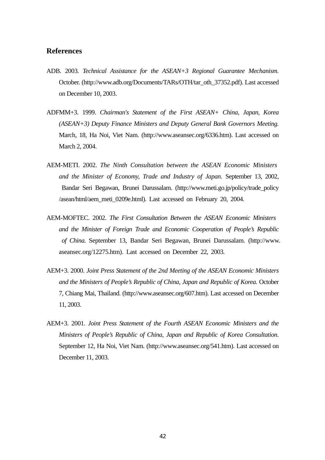# **References**

- ADB. 2003. *Technical Assistance for the ASEAN+3 Regional Guarantee Mechanism.*  October. (http://www.adb.org/Documents/TARs/OTH/tar\_oth\_37352.pdf). Last accessed on December 10, 2003.
- ADFMM+3. 1999. *Chairman's Statement of the First ASEAN+ China, Japan, Korea (ASEAN+3) Deputy Finance Ministers and Deputy General Bank Governors Meeting.* March, 18, Ha Noi, Viet Nam. (http://www.aseansec.org/6336.htm). Last accessed on March 2, 2004.
- AEM-METI. 2002. *The Ninth Consultation between the ASEAN Economic Ministers and the Minister of Economy, Trade and Industry of Japan.* September 13, 2002, Bandar Seri Begawan, Brunei Darussalam. (http://www.meti.go.jp/policy/trade\_policy /asean/html/aem\_meti\_0209e.html). Last accessed on February 20, 2004.
- AEM-MOFTEC. 2002. *The First Consultation Between the ASEAN Economic Ministers and the Minister of Foreign Trade and Economic Cooperation of People's Republic of China.* September 13, Bandar Seri Begawan, Brunei Darussalam. (http://www. aseansec.org/12275.htm). Last accessed on December 22, 2003.
- AEM+3. 2000. *Joint Press Statement of the 2nd Meeting of the ASEAN Economic Ministers and the Ministers of People's Republic of China, Japan and Republic of Korea.* October 7, Chiang Mai, Thailand. (http://www.aseansec.org/607.htm). Last accessed on December 11, 2003.
- AEM+3. 2001. *Joint Press Statement of the Fourth ASEAN Economic Ministers and the Ministers of People's Republic of China, Japan and Republic of Korea Consultation.* September 12, Ha Noi, Viet Nam. (http://www.aseansec.org/541.htm). Last accessed on December 11, 2003.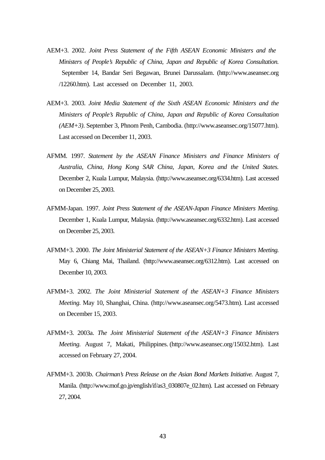- AEM+3. 2002. *Joint Press Statement of the Fifth ASEAN Economic Ministers and the Ministers of People's Republic of China, Japan and Republic of Korea Consultation.* September 14, Bandar Seri Begawan, Brunei Darussalam. (http://www.aseansec.org /12260.htm). Last accessed on December 11, 2003.
- AEM+3. 2003. *Joint Media Statement of the Sixth ASEAN Economic Ministers and the Ministers of People's Republic of China, Japan and Republic of Korea Consultation (AEM+3)*. September 3, Phnom Penh, Cambodia. (http://www.aseansec.org/15077.htm). Last accessed on December 11, 2003.
- AFMM. 1997. *Statement by the ASEAN Finance Ministers and Finance Ministers of Australia, China, Hong Kong SAR China, Japan, Korea and the United States.*  December 2, Kuala Lumpur, Malaysia. (http://www.aseansec.org/6334.htm). Last accessed on December 25, 2003.
- AFMM-Japan. 1997. *Joint Press Statement of the ASEAN-Japan Finance Ministers Meeting.* December 1, Kuala Lumpur, Malaysia. (http://www.aseansec.org/6332.htm). Last accessed on December 25, 2003.
- AFMM+3. 2000. *The Joint Ministerial Statement of the ASEAN+3 Finance Ministers Meeting.*  May 6, Chiang Mai, Thailand. (http://www.aseansec.org/6312.htm). Last accessed on December 10, 2003.
- AFMM+3. 2002. *The Joint Ministerial Statement of the ASEAN+3 Finance Ministers Meeting.* May 10, Shanghai, China. (http://www.aseansec.org/5473.htm). Last accessed on December 15, 2003.
- AFMM+3. 2003a. *The Joint Ministerial Statement of the ASEAN+3 Finance Ministers Meeting.* August 7, Makati, Philippines. (http://www.aseansec.org/15032.htm). Last accessed on February 27, 2004.
- AFMM+3. 2003b. *Chairman's Press Release on the Asian Bond Markets Initiative.* August 7, Manila. (http://www.mof.go.jp/english/if/as3\_030807e\_02.htm). Last accessed on February 27, 2004.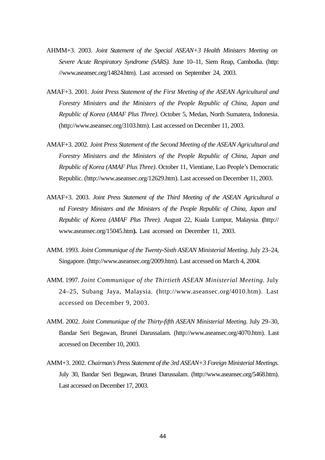- AHMM+3. 2003. *Joint Statement of the Special ASEAN+3 Health Ministers Meeting on Severe Acute Respiratory Syndrome (SARS).* June 10–11, Siem Reap, Cambodia. (http: //www.aseansec.org/14824.htm). Last accessed on September 24, 2003.
- AMAF+3. 2001. *Joint Press Statement of the First Meeting of the ASEAN Agricultural and Forestry Ministers and the Ministers of the People Republic of China, Japan and Republic of Korea (AMAF Plus Three)*. October 5, Medan, North Sumatera, Indonesia. (http://www.aseansec.org/3103.htm). Last accessed on December 11, 2003.
- AMAF+3. 2002. *Joint Press Statement of the Second Meeting of the ASEAN Agricultural and Forestry Ministers and the Ministers of the People Republic of China, Japan and Republic of Korea (AMAF Plus Three)*. October 11, Vientiane, Lao People's Democratic Republic. (http://www.aseansec.org/12629.htm). Last accessed on December 11, 2003.
- AMAF+3. 2003. *Joint Press Statement of the Third Meeting of the ASEAN Agricultural a nd Forestry Ministers and the Ministers of the People Republic of China, Japan and Republic of Korea (AMAF Plus Three)*. August 22, Kuala Lumpur, Malaysia. **(**http:// www.aseansec.org/15045.htm**).** Last accessed on December 11, 2003.
- AMM. 1993. *Joint Communique of the Twenty-Sixth ASEAN Ministerial Meeting*. July 23–24, Singapore. (http://www.aseansec.org/2009.htm). Last accessed on March 4, 2004.
- AMM. 1997. *Joint Communique of the Thirtieth ASEAN Ministerial Meeting*. July 24–25, Subang Jaya, Malaysia. (http://www.aseansec.org/4010.htm). Last accessed on December 9, 2003.
- AMM. 2002. *Joint Communique of the Thirty-fifth ASEAN Ministerial Meeting.* July 29–30, Bandar Seri Begawan, Brunei Darussalam. (http://www.aseansec.org/4070.htm). Last accessed on December 10, 2003.
- AMM+3. 2002. *Chairman's Press Statement of the 3rd ASEAN+3 Foreign Ministerial Meetings.* July 30, Bandar Seri Begawan, Brunei Darussalam. (http://www.aseansec.org/5468.htm). Last accessed on December 17, 2003.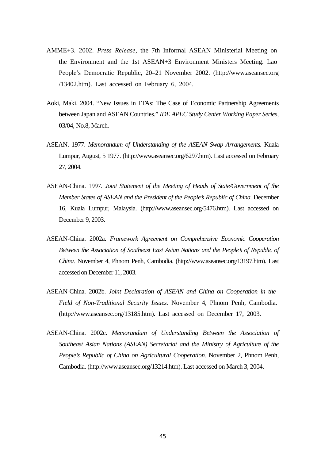- AMME+3. 2002. *Press Release,* the 7th Informal ASEAN Ministerial Meeting on the Environment and the 1st ASEAN+3 Environment Ministers Meeting. Lao People's Democratic Republic, 20–21 November 2002. (http://www.aseansec.org /13402.htm). Last accessed on February 6, 2004.
- Aoki, Maki. 2004. "New Issues in FTAs: The Case of Economic Partnership Agreements between Japan and ASEAN Countries." *IDE APEC Study Center Working Paper Series,*  03/04, No.8, March.
- ASEAN. 1977. *Memorandum of Understanding of the ASEAN Swap Arrangements.* Kuala Lumpur, August, 5 1977. (http://www.aseansec.org/6297.htm). Last accessed on February 27, 2004.
- ASEAN-China. 1997. *Joint Statement of the Meeting of Heads of State/Government of the Member States of ASEAN and the President of the People's Republic of China.* December 16, Kuala Lumpur, Malaysia. (http://www.aseansec.org/5476.htm). Last accessed on December 9, 2003.
- ASEAN-China. 2002a. *Framework Agreement on Comprehensive Economic Cooperation Between the Association of Southeast East Asian Nations and the People's of Republic of China.* November 4, Phnom Penh, Cambodia. (http://www.aseansec.org/13197.htm). Last accessed on December 11, 2003.
- ASEAN-China. 2002b. *Joint Declaration of ASEAN and China on Cooperation in the Field of Non-Traditional Security Issues.* November 4, Phnom Penh, Cambodia. (http://www.aseansec.org/13185.htm). Last accessed on December 17, 2003.
- ASEAN-China. 2002c. *Memorandum of Understanding Between the Association of Southeast Asian Nations (ASEAN) Secretariat and the Ministry of Agriculture of the People's Republic of China on Agricultural Cooperation.* November 2, Phnom Penh, Cambodia. (http://www.aseansec.org/13214.htm). Last accessed on March 3, 2004.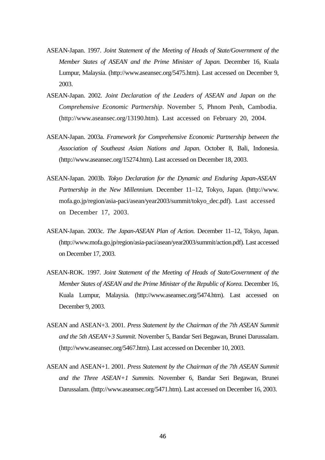- ASEAN-Japan. 1997. *Joint Statement of the Meeting of Heads of State/Government of the Member States of ASEAN and the Prime Minister of Japan.* December 16, Kuala Lumpur, Malaysia. (http://www.aseansec.org/5475.htm). Last accessed on December 9, 2003.
- ASEAN-Japan. 2002. *Joint Declaration of the Leaders of ASEAN and Japan on the Comprehensive Economic Partnership*. November 5, Phnom Penh, Cambodia. (http://www.aseansec.org/13190.htm). Last accessed on February 20, 2004.
- ASEAN-Japan. 2003a. *Framework for Comprehensive Economic Partnership between the Association of Southeast Asian Nations and Japan.* October 8, Bali, Indonesia. (http://www.aseansec.org/15274.htm). Last accessed on December 18, 2003.
- ASEAN-Japan. 2003b. *Tokyo Declaration for the Dynamic and Enduring Japan-ASEAN Partnership in the New Millennium.* December 11–12, Tokyo, Japan. (http://www. mofa.go.jp/region/asia-paci/asean/year2003/summit/tokyo\_dec.pdf). Last accessed on December 17, 2003.
- ASEAN-Japan. 2003c. *The Japan-ASEAN Plan of Action.* December 11–12, Tokyo, Japan. (http://www.mofa.go.jp/region/asia-paci/asean/year2003/summit/action.pdf). Last accessed on December 17, 2003.
- ASEAN-ROK. 1997. *Joint Statement of the Meeting of Heads of State/Government of the Member States of ASEAN and the Prime Minister of the Republic of Korea. December 16,* Kuala Lumpur, Malaysia. (http://www.aseansec.org/5474.htm). Last accessed on December 9, 2003.
- ASEAN and ASEAN+3. 2001. *Press Statement by the Chairman of the 7th ASEAN Summit and the 5th ASEAN+3 Summit.* November 5, Bandar Seri Begawan, Brunei Darussalam. (http://www.aseansec.org/5467.htm). Last accessed on December 10, 2003.
- ASEAN and ASEAN+1. 2001. *Press Statement by the Chairman of the 7th ASEAN Summit and the Three ASEAN+1 Summits*. November 6, Bandar Seri Begawan, Brunei Darussalam. (http://www.aseansec.org/5471.htm). Last accessed on December 16, 2003.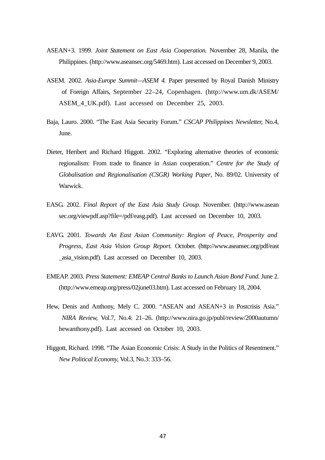- ASEAN+3. 1999. *Joint Statement on East Asia Cooperation.* November 28, Manila, the Philippines. (http://www.aseansec.org/5469.htm). Last accessed on December 9, 2003.
- ASEM. 2002. *Asia-Europe Summit—ASEM 4.* Paper presented by Royal Danish Ministry of Foreign Affairs, September 22–24, Copenhagen. (http://www.um.dk/ASEM/ ASEM\_4\_UK.pdf). Last accessed on December 25, 2003.
- Baja, Lauro. 2000. "The East Asia Security Forum." *CSCAP Philippines Newsletter,* No.4, June.
- Dieter, Heribert and Richard Higgott. 2002. "Exploring alternative theories of economic regionalism: From trade to finance in Asian cooperation." *Centre for the Study of Globalisation and Regionalisation (CSGR) Working Paper*, No. 89/02. University of Warwick.
- EASG. 2002. *Final Report of the East Asia Study Group.* November. (http://www.asean sec.org/viewpdf.asp?file=/pdf/easg.pdf). Last accessed on December 10, 2003.
- EAVG. 2001. *Towards An East Asian Community: Region of Peace, Prosperity and Progress, East Asia Vision Group Report.* October. (http://www.aseansec.org/pdf/east \_asia\_vision.pdf). Last accessed on December 10, 2003.
- EMEAP. 2003. *Press Statement: EMEAP Central Banks to Launch Asian Bond Fund.* June 2. (http://www.emeap.org/press/02june03.htm). Last accessed on February 18, 2004.
- Hew, Denis and Anthony, Mely C. 2000. "ASEAN and ASEAN+3 in Postcrisis Asia." *NIRA Review,* Vol.7, No.4: 21–26. (http://www.nira.go.jp/publ/review/2000autumn/ hewanthony.pdf). Last accessed on October 10, 2003.
- Higgott, Richard. 1998. "The Asian Economic Crisis: A Study in the Politics of Resentment." *New Political Economy,* Vol.3, No.3: 333–56.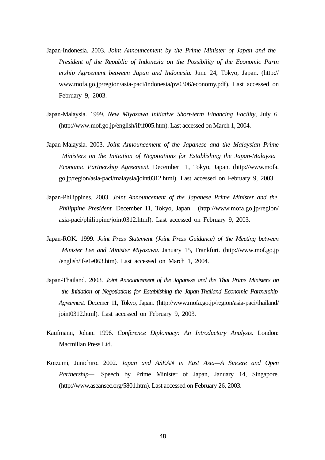- Japan-Indonesia. 2003. *Joint Announcement by the Prime Minister of Japan and the President of the Republic of Indonesia on the Possibility of the Economic Partn ership Agreement between Japan and Indonesia.* June 24, Tokyo, Japan. (http:// www.mofa.go.jp/region/asia-paci/indonesia/pv0306/economy.pdf). Last accessed on February 9, 2003.
- Japan-Malaysia. 1999. *New Miyazawa Initiative Short-term Financing Facility,* July 6. (http://www.mof.go.jp/english/if/if005.htm). Last accessed on March 1, 2004.
- Japan-Malaysia. 2003. *Joint Announcement of the Japanese and the Malaysian Prime Ministers on the Initiation of Negotiations for Establishing the Japan-Malaysia Economic Partnership Agreement.* December 11, Tokyo, Japan. (http://www.mofa. go.jp/region/asia-paci/malaysia/joint0312.html). Last accessed on February 9, 2003.
- Japan-Philippines. 2003. *Joint Announcement of the Japanese Prime Minister and the Philippine President.* December 11, Tokyo, Japan.(http://www.mofa.go.jp/region/ asia-paci/philippine/joint0312.html). Last accessed on February 9, 2003.
- Japan-ROK. 1999. *Joint Press Statement (Joint Press Guidance) of the Meeting between Minister Lee and Minister Miyazawa.* January 15, Frankfurt. (http://www.mof.go.jp /english/if/e1e063.htm). Last accessed on March 1, 2004.
- Japan-Thailand. 2003. *Joint Announcement of the Japanese and the Thai Prime Ministers on the Initiation of Negotiations for Establishing the Japan-Thailand Economic Partnership Agreement.* Decemer 11, Tokyo, Japan. (http://www.mofa.go.jp/region/asia-paci/thailand/ joint0312.html). Last accessed on February 9, 2003.
- Kaufmann, Johan. 1996. *Conference Diplomacy: An Introductory Analysis*. London: Macmillan Press Ltd.
- Koizumi, Junichiro. 2002. *Japan and ASEAN in East Asia—A Sincere and Open Partnership—*. Speech by Prime Minister of Japan, January 14, Singapore. (http://www.aseansec.org/5801.htm). Last accessed on February 26, 2003.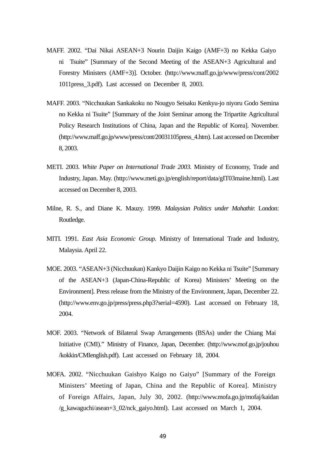- MAFF. 2002. "Dai Nikai ASEAN+3 Nourin Daijin Kaigo (AMF+3) no Kekka Gaiyo ni Tsuite" [Summary of the Second Meeting of the ASEAN+3 Agricultural and Forestry Ministers (AMF+3)]. October. (http://www.maff.go.jp/www/press/cont/2002 1011press\_3.pdf). Last accessed on December 8, 2003.
- MAFF. 2003. "Nicchuukan Sankakoku no Nougyo Seisaku Kenkyu-jo niyoru Godo Semina no Kekka ni Tsuite" [Summary of the Joint Seminar among the Tripartite Agricultural Policy Research Institutions of China, Japan and the Republic of Korea]. November. (http://www.maff.go.jp/www/press/cont/20031105press\_4.htm). Last accessed on December 8, 2003.
- METI. 2003. *White Paper on International Trade 2003.* Ministry of Economy, Trade and Industry, Japan. May. (http://www.meti.go.jp/english/report/data/gIT03maine.html). Last accessed on December 8, 2003.
- Milne, R. S., and Diane K. Mauzy. 1999. *Malaysian Politics under Mahathir.* London: Routledge.
- MITI. 1991. *East Asia Economic Group.* Ministry of International Trade and Industry, Malaysia. April 22.
- MOE. 2003. "ASEAN+3 (Nicchuukan) Kankyo Daijin Kaigo no Kekka ni Tsuite" [Summary of the ASEAN+3 (Japan-China-Republic of Korea) Ministers' Meeting on the Environment]. Press release from the Ministry of the Environment, Japan, December 22. (http://www.env.go.jp/press/press.php3?serial=4590). Last accessed on February 18, 2004.
- MOF. 2003. "Network of Bilateral Swap Arrangements (BSAs) under the Chiang Mai Initiative (CMI)." Ministry of Finance, Japan, December. (http://www.mof.go.jp/jouhou /kokkin/CMIenglish.pdf). Last accessed on February 18, 2004.
- MOFA. 2002. "Nicchuukan Gaishyo Kaigo no Gaiyo" [Summary of the Foreign Ministers' Meeting of Japan, China and the Republic of Korea]. Ministry of Foreign Affairs, Japan, July 30, 2002. (http://www.mofa.go.jp/mofaj/kaidan /g\_kawaguchi/asean+3\_02/nck\_gaiyo.html). Last accessed on March 1, 2004.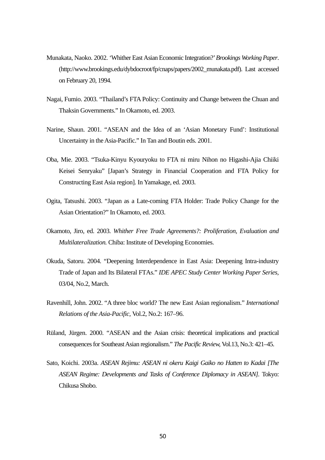- Munakata, Naoko. 2002. 'Whither East Asian Economic Integration?' *Brookings Working Paper*. (http://www.brookings.edu/dybdocroot/fp/cnaps/papers/2002\_munakata.pdf). Last accessed on February 20, 1994.
- Nagai, Fumio. 2003. "Thailand's FTA Policy: Continuity and Change between the Chuan and Thaksin Governments." In Okamoto, ed. 2003.
- Narine, Shaun. 2001. "ASEAN and the Idea of an 'Asian Monetary Fund': Institutional Uncertainty in the Asia-Pacific." In Tan and Boutin eds. 2001.
- Oba, Mie. 2003. "Tsuka-Kinyu Kyouryoku to FTA ni miru Nihon no Higashi-Ajia Chiiki Keisei Senryaku" [Japan's Strategy in Financial Cooperation and FTA Policy for Constructing East Asia region]. In Yamakage, ed. 2003.
- Ogita, Tatsushi. 2003. "Japan as a Late-coming FTA Holder: Trade Policy Change for the Asian Orientation?" In Okamoto, ed. 2003.
- Okamoto, Jiro, ed. 2003. *Whither Free Trade Agreements?: Proliferation, Evaluation and Multilateralization.* Chiba: Institute of Developing Economies.
- Okuda, Satoru. 2004. "Deepening Interdependence in East Asia: Deepening Intra-industry Trade of Japan and Its Bilateral FTAs." *IDE APEC Study Center Working Paper Series,*  03/04, No.2, March.
- Ravenhill, John. 2002. "A three bloc world? The new East Asian regionalism." *International Relations of the Asia-Pacific,* Vol.2, No.2: 167–96.
- Rüland, Jürgen. 2000. "ASEAN and the Asian crisis: theoretical implications and practical consequences for Southeast Asian regionalism." *The Pacific Review,* Vol.13, No.3: 421–45.
- Sato, Koichi. 2003a. *ASEAN Rejimu: ASEAN ni okeru Kaigi Gaiko no Hatten to Kadai [The ASEAN Regime: Developments and Tasks of Conference Diplomacy in ASEAN].* Tokyo: Chikusa Shobo.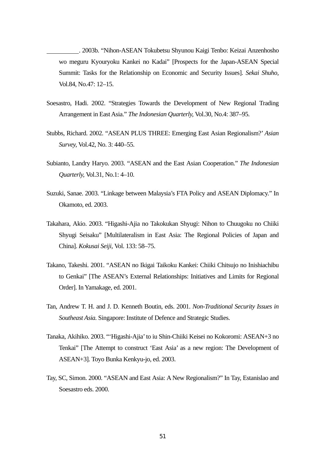. 2003b. "Nihon-ASEAN Tokubetsu Shyunou Kaigi Tenbo: Keizai Anzenhosho wo meguru Kyouryoku Kankei no Kadai" [Prospects for the Japan-ASEAN Special Summit: Tasks for the Relationship on Economic and Security Issues]. *Sekai Shuho,*  Vol.84, No.47: 12–15.

- Soesastro, Hadi. 2002. "Strategies Towards the Development of New Regional Trading Arrangement in East Asia." *The Indonesian Quarterly,* Vol.30, No.4: 387–95.
- Stubbs, Richard. 2002. "ASEAN PLUS THREE: Emerging East Asian Regionalism?' *Asian Survey,* Vol.42, No. 3: 440–55.
- Subianto, Landry Haryo. 2003. "ASEAN and the East Asian Cooperation." *The Indonesian Quarterly,* Vol.31, No.1: 4–10.
- Suzuki, Sanae. 2003. "Linkage between Malaysia's FTA Policy and ASEAN Diplomacy." In Okamoto, ed. 2003.
- Takahara, Akio. 2003. "Higashi-Ajia no Takokukan Shyugi: Nihon to Chuugoku no Chiiki Shyugi Seisaku" [Multilateralism in East Asia: The Regional Policies of Japan and China]. *Kokusai Seiji,* Vol. 133: 58–75.
- Takano, Takeshi. 2001. "ASEAN no Ikigai Taikoku Kankei: Chiiki Chitsujo no Inishiachibu to Genkai" [The ASEAN's External Relationships: Initiatives and Limits for Regional Order]. In Yamakage, ed. 2001.
- Tan, Andrew T. H. and J. D. Kenneth Boutin, eds. 2001. *Non-Traditional Security Issues in Southeast Asia.* Singapore: Institute of Defence and Strategic Studies.
- Tanaka, Akihiko. 2003. "'Higashi-Ajia' to iu Shin-Chiiki Keisei no Kokoromi: ASEAN+3 no Tenkai" [The Attempt to construct 'East Asia' as a new region: The Development of ASEAN+3]. Toyo Bunka Kenkyu-jo, ed. 2003.
- Tay, SC, Simon. 2000. "ASEAN and East Asia: A New Regionalism?" In Tay, Estanislao and Soesastro eds. 2000.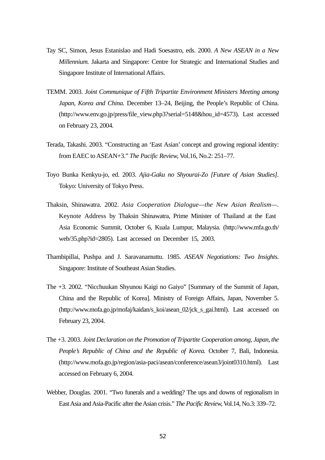- Tay SC, Simon, Jesus Estanislao and Hadi Soesastro, eds. 2000. *A New ASEAN in a New Millennium.* Jakarta and Singapore: Centre for Strategic and International Studies and Singapore Institute of International Affairs.
- TEMM. 2003. *Joint Communique of Fifth Tripartite Environment Ministers Meeting among Japan, Korea and China.* December 13–24, Beijing, the People's Republic of China. (http://www.env.go.jp/press/file\_view.php3?serial=5148&hou\_id=4573). Last accessed on February 23, 2004.
- Terada, Takashi. 2003. "Constructing an 'East Asian' concept and growing regional identity: from EAEC to ASEAN+3." *The Pacific Review,* Vol.16, No.2: 251–77.
- Toyo Bunka Kenkyu-jo, ed. 2003. *Ajia-Gaku no Shyourai-Zo [Future of Asian Studies].*  Tokyo: University of Tokyo Press.
- Thaksin, Shinawatra. 2002. *Asia Cooperation Dialogue—the New Asian Realism—*. Keynote Address by Thaksin Shinawatra, Prime Minister of Thailand at the East Asia Economic Summit, October 6, Kuala Lumpur, Malaysia. (http://www.mfa.go.th/ web/35.php?id=2805). Last accessed on December 15, 2003.
- Thambipillai, Pushpa and J. Saravanamuttu. 1985. *ASEAN Negotiations: Two Insights.*  Singapore: Institute of Southeast Asian Studies.
- The +3. 2002. "Nicchuukan Shyunou Kaigi no Gaiyo" [Summary of the Summit of Japan, China and the Republic of Korea]. Ministry of Foreign Affairs, Japan, November 5. (http://www.mofa.go.jp/mofaj/kaidan/s\_koi/asean\_02/jck\_s\_gai.html). Last accessed on February 23, 2004.
- The +3. 2003. *Joint Declaration on the Promotion of Tripartite Cooperation among, Japan, the People's Republic of China and the Republic of Korea.* October 7, Bali, Indonesia. (http://www.mofa.go.jp/region/asia-paci/asean/conference/asean3/joint0310.html). Last accessed on February 6, 2004.
- Webber, Douglas. 2001. "Two funerals and a wedding? The ups and downs of regionalism in East Asia and Asia-Pacific after the Asian crisis." *The Pacific Review,* Vol.14, No.3: 339–72.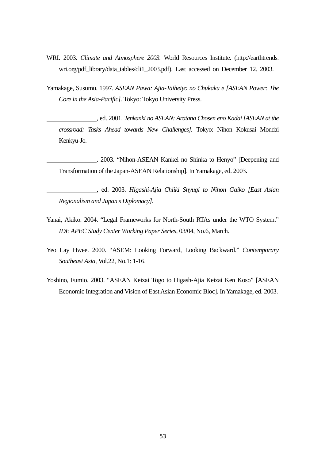- WRI. 2003. *Climate and Atmosphere 2003.* World Resources Institute. (http://earthtrends. wri.org/pdf\_library/data\_tables/cli1\_2003.pdf). Last accessed on December 12. 2003.
- Yamakage, Susumu. 1997. *ASEAN Pawa: Ajia-Taiheiyo no Chukaku e [ASEAN Power: The Core in the Asia-Pacific].* Tokyo: Tokyo University Press.
	- , ed. 2001. *Tenkanki no ASEAN: Aratana Chosen eno Kadai [ASEAN at the crossroad: Tasks Ahead towards New Challenges].* Tokyo: Nihon Kokusai Mondai Kenkyu-Jo.
	- . 2003. "Nihon-ASEAN Kankei no Shinka to Henyo" [Deepening and Transformation of the Japan-ASEAN Relationship]. In Yamakage, ed. 2003.
	- , ed. 2003. *Higashi-Ajia Chiiki Shyugi to Nihon Gaiko [East Asian Regionalism and Japan's Diplomacy].*
- Yanai, Akiko. 2004. "Legal Frameworks for North-South RTAs under the WTO System." *IDE APEC Study Center Working Paper Series,* 03/04, No.6, March.
- Yeo Lay Hwee. 2000. "ASEM: Looking Forward, Looking Backward." *Contemporary Southeast Asia,* Vol.22, No.1: 1-16.
- Yoshino, Fumio. 2003. "ASEAN Keizai Togo to Higash-Ajia Keizai Ken Koso" [ASEAN Economic Integration and Vision of East Asian Economic Bloc]. In Yamakage, ed. 2003.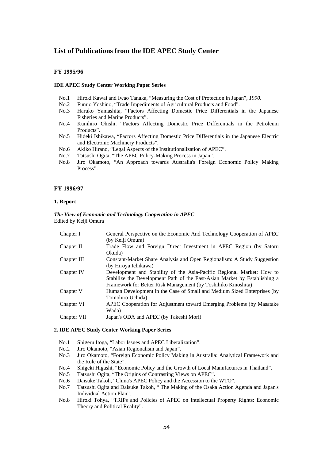## **List of Publications from the IDE APEC Study Center**

#### **FY 1995/96**

#### **IDE APEC Study Center Working Paper Series**

- No.1 Hiroki Kawai and Iwao Tanaka, "Measuring the Cost of Protection in Japan"*, 1990*.
- No.2 Fumio Yoshino, "Trade Impediments of Agricultural Products and Food".
- No.3 Haruko Yamashita, "Factors Affecting Domestic Price Differentials in the Japanese Fisheries and Marine Products".
- No.4 Kunihiro Ohishi, "Factors Affecting Domestic Price Differentials in the Petroleum Products".
- No.5 Hideki Ishikawa, "Factors Affecting Domestic Price Differentials in the Japanese Electric and Electronic Machinery Products".
- No.6 Akiko Hirano, "Legal Aspects of the Institutionalization of APEC".
- No.7 Tatsushi Ogita, "The APEC Policy-Making Process in Japan".
- No.8 Jiro Okamoto, "An Approach towards Australia's Foreign Economic Policy Making Process".

#### **FY 1996/97**

#### **1. Report**

#### *The View of Economic and Technology Cooperation in APEC*  Edited by Keiji Omura

| Chapter I   | General Perspective on the Economic And Technology Cooperation of APEC<br>(by Keiji Omura)                                                                                                                          |
|-------------|---------------------------------------------------------------------------------------------------------------------------------------------------------------------------------------------------------------------|
| Chapter II  | Trade Flow and Foreign Direct Investment in APEC Region (by Satoru                                                                                                                                                  |
|             | Okuda)                                                                                                                                                                                                              |
| Chapter III | Constant-Market Share Analysis and Open Regionalism: A Study Suggestion<br>(by Hiroya Ichikawa)                                                                                                                     |
| Chapter IV  | Development and Stability of the Asia-Pacific Regional Market: How to<br>Stabilize the Development Path of the East-Asian Market by Establishing a<br>Framework for Better Risk Management (by Toshihiko Kinoshita) |
| Chapter V   | Human Development in the Case of Small and Medium Sized Enterprises (by<br>Tomohiro Uchida)                                                                                                                         |
| Chapter VI  | APEC Cooperation for Adjustment toward Emerging Problems (by Masatake<br>Wada)                                                                                                                                      |
| Chapter VII | Japan's ODA and APEC (by Takeshi Mori)                                                                                                                                                                              |

#### **2. IDE APEC Study Center Working Paper Series**

- No.1 Shigeru Itoga, "Labor Issues and APEC Liberalization".
- No.2 Jiro Okamoto, "Asian Regionalism and Japan".
- No.3 Jiro Okamoto, "Foreign Economic Policy Making in Australia: Analytical Framework and the Role of the State".
- No.4 Shigeki Higashi, "Economic Policy and the Growth of Local Manufactures in Thailand".
- No.5 Tatsushi Ogita, "The Origins of Contrasting Views on APEC".
- No.6 Daisuke Takoh, "China's APEC Policy and the Accession to the WTO".
- No.7 Tatsushi Ogita and Daisuke Takoh, " The Making of the Osaka Action Agenda and Japan's Individual Action Plan".
- No.8 Hiroki Tohya, "TRIPs and Policies of APEC on Intellectual Property Rights: Economic Theory and Political Reality".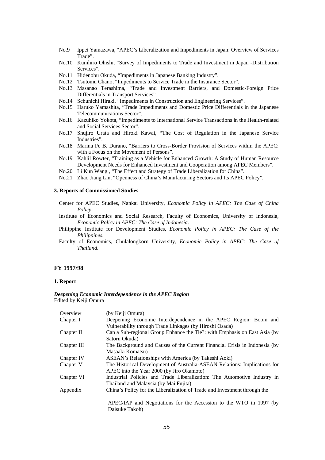- No.9 Ippei Yamazawa, "APEC's Liberalization and Impediments in Japan: Overview of Services Trade".
- No.10 Kunihiro Ohishi, "Survey of Impediments to Trade and Investment in Japan -Distribution Services".
- No.11 Hidenobu Okuda, "Impediments in Japanese Banking Industry".
- No.12 Tsutomu Chano, "Impediments to Service Trade in the Insurance Sector".
- No.13 Masanao Terashima, "Trade and Investment Barriers, and Domestic-Foreign Price Differentials in Transport Services".
- No.14 Schunichi Hiraki, "Impediments in Construction and Engineering Services".
- No.15 Haruko Yamashita, "Trade Impediments and Domestic Price Differentials in the Japanese Telecommunications Sector".
- No.16 Kazuhiko Yokota, "Impediments to International Service Transactions in the Health-related and Social Services Sector".
- No.17 Shujiro Urata and Hiroki Kawai, "The Cost of Regulation in the Japanese Service Industries".
- No.18 Marina Fe B. Durano, "Barriers to Cross-Border Provision of Services within the APEC: with a Focus on the Movement of Persons".
- No.19 Kahlil Rowter, "Training as a Vehicle for Enhanced Growth: A Study of Human Resource Development Needs for Enhanced Investment and Cooperation among APEC Members".
- No.20 Li Kun Wang , "The Effect and Strategy of Trade Liberalization for China".
- No.21 Zhao Jiang Lin, "Openness of China's Manufacturing Sectors and Its APEC Policy".

### **3. Reports of Commissioned Studies**

- Center for APEC Studies, Nankai University, *Economic Policy in APEC: The Case of China Policy*.
- Institute of Economics and Social Research, Faculty of Economics, University of Indonesia, *Economic Policy in APEC: The Case of Indonesia*.
- Philippine Institute for Development Studies, *Economic Policy in APEC: The Case of the Philippines*.
- Faculty of Economics, Chulalongkorn University, *Economic Policy in APEC: The Case of Thailand*.

#### **FY 1997/98**

#### **1. Report**

#### *Deepening Economic Interdependence in the APEC Region*  Edited by Keiji Omura

| Overview    | (by Keiji Omura)                                                           |
|-------------|----------------------------------------------------------------------------|
| Chapter I   | Deepening Economic Interdependence in the APEC Region: Boom and            |
|             | Vulnerability through Trade Linkages (by Hiroshi Osada)                    |
| Chapter II  | Can a Sub-regional Group Enhance the Tie?: with Emphasis on East Asia (by  |
|             | Satoru Okuda)                                                              |
| Chapter III | The Background and Causes of the Current Financial Crisis in Indonesia (by |
|             | Masaaki Komatsu)                                                           |
| Chapter IV  | ASEAN's Relationships with America (by Takeshi Aoki)                       |
| Chapter V   | The Historical Development of Australia-ASEAN Relations: Implications for  |
|             | APEC into the Year 2000 (by Jiro Okamoto)                                  |
| Chapter VI  | Industrial Policies and Trade Liberalization: The Automotive Industry in   |
|             | Thailand and Malaysia (by Mai Fujita)                                      |
| Appendix    | China's Policy for the Liberalization of Trade and Investment through the  |
|             | APEC/IAP and Negotiations for the Accession to the WTO in 1997 (by         |
|             |                                                                            |
|             | Daisuke Takoh)                                                             |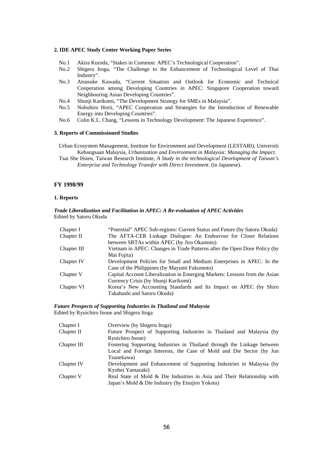#### **2. IDE APEC Study Center Working Paper Series**

- No.1 Akira Kuroda, "Stakes in Common: APEC's Technological Cooperation".
- No.2 Shigeru Itoga, "The Challenge to the Enhancement of Technological Level of Thai Industry".
- No.3 Atsusuke Kawada, "Current Situation and Outlook for Economic and Technical Cooperation among Developing Countries in APEC: Singapore Cooperation toward Neighbouring Asian Developing Countries".
- No.4 Shunji Karikomi, "The Development Strategy for SMEs in Malaysia".
- No.5 Nobuhiro Horii, "APEC Cooperation and Strategies for the Introduction of Renewable Energy into Developing Countries".
- No.6 Colin K.L. Chang, "Lessons in Technology Development: The Japanese Experience".

#### **3. Reports of Commissioned Studies**

Urban Ecosystem Management, Institute for Environment and Development (LESTARI), Universiti Kebangsaan Malaysia, *Urbanization and Environment in Malaysia: Managing the Impact*.

Tsai She Hsien, Taiwan Research Institute, *A Study in the technological Development of Taiwan's Enterprise and Technology Transfer with Direct Investment*. (in Japanese).

#### **FY 1998/99**

#### **1. Reports**

#### *Trade Liberalization and Facilitation in APEC: A Re-evaluation of APEC Activities*  Edited by Satoru Okuda

| Chapter I   | "Potential" APEC Sub-regions: Current Status and Future (by Satoru Okuda)  |
|-------------|----------------------------------------------------------------------------|
| Chapter II  | The AFTA-CER Linkage Dialogue: An Endeavour for Closer Relations           |
|             | between SRTAs within APEC (by Jiro Okamoto)                                |
| Chapter III | Vietnam in APEC: Changes in Trade Patterns after the Open Door Policy (by  |
|             | Mai Fujita)                                                                |
| Chapter IV  | Development Policies for Small and Medium Enterprises in APEC: In the      |
|             | Case of the Philippines (by Mayumi Fukumoto)                               |
| Chapter V   | Capital Account Liberalization in Emerging Markets: Lessons from the Asian |
|             | Currency Crisis (by Shunji Karikomi)                                       |
| Chapter VI  | Korea's New Accounting Standards and Its Impact on APEC (by Shiro          |
|             | Takahashi and Satoru Okuda)                                                |

#### *Future Prospects of Supporting Industries in Thailand and Malaysia*  Edited by Ryuichiro Inoue and Shigeru Itoga

| Chapter I   | Overview (by Shigeru Itoga)                                             |
|-------------|-------------------------------------------------------------------------|
| Chapter II  | Future Prospect of Supporting Industries in Thailand and Malaysia (by   |
|             | Ryuichiro Inoue)                                                        |
| Chapter III | Fostering Supporting Industries in Thailand through the Linkage between |
|             | Local and Foreign Interests, the Case of Mold and Die Sector (by Jun    |
|             | Tsunekawa)                                                              |
| Chapter IV  | Development and Enhancement of Supporting Industries in Malaysia (by    |
|             | Kyohei Yamazaki)                                                        |
| Chapter V   | Real State of Mold & Die Industries in Asia and Their Relationship with |
|             | Japan's Mold & Die Industry (by Etsujiro Yokota)                        |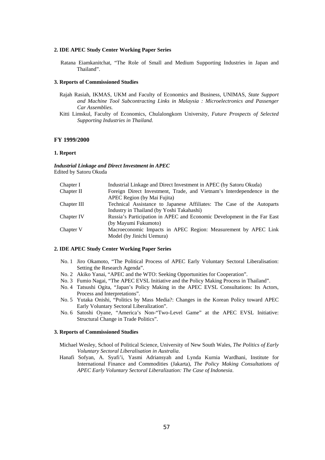#### **2. IDE APEC Study Center Working Paper Series**

Ratana Eiamkanitchat, "The Role of Small and Medium Supporting Industries in Japan and Thailand".

#### **3. Reports of Commissioned Studies**

- Rajah Rasiah, IKMAS, UKM and Faculty of Economics and Business, UNIMAS*, State Support and Machine Tool Subcontracting Links in Malaysia : Microelectronics and Passenger Car Assemblies.*
- Kitti Limskul, Faculty of Economics, Chulalongkorn University*, Future Prospects of Selected Supporting Industries in Thailand.*

#### **FY 1999/2000**

#### **1. Report**

*Industrial Linkage and Direct Investment in APEC*  Edited by Satoru Okuda

| Chapter I   | Industrial Linkage and Direct Investment in APEC (by Satoru Okuda)      |
|-------------|-------------------------------------------------------------------------|
| Chapter II  | Foreign Direct Investment, Trade, and Vietnam's Interdependence in the  |
|             | APEC Region (by Mai Fujita)                                             |
| Chapter III | Technical Assistance to Japanese Affiliates: The Case of the Autoparts  |
|             | Industry in Thailand (by Yoshi Takahashi)                               |
| Chapter IV  | Russia's Participation in APEC and Economic Development in the Far East |
|             | (by Mayumi Fukumoto)                                                    |
| Chapter V   | Macroeconomic Impacts in APEC Region: Measurement by APEC Link          |
|             | Model (by Jinichi Uemura)                                               |
|             |                                                                         |

#### **2. IDE APEC Study Center Working Paper Series**

- No. 1 Jiro Okamoto, "The Political Process of APEC Early Voluntary Sectoral Liberalisation: Setting the Research Agenda".
- No. 2 Akiko Yanai, "APEC and the WTO: Seeking Opportunities for Cooperation".
- No. 3 Fumio Nagai, "The APEC EVSL Initiative and the Policy Making Process in Thailand".
- No. 4 Tatsushi Ogita, "Japan's Policy Making in the APEC EVSL Consultations: Its Actors, Process and Interpretations".
- No. 5 Yutaka Onishi, "Politics by Mass Media?: Changes in the Korean Policy toward APEC Early Voluntary Sectoral Liberalization".
- No. 6 Satoshi Oyane, "America's Non-"Two-Level Game" at the APEC EVSL Initiative: Structural Change in Trade Politics".

#### **3. Reports of Commissioned Studies**

- Michael Wesley, School of Political Science, University of New South Wales, *The Politics of Early Voluntary Sectoral Liberalisation in Australia*.
- Hanafi Sofyan, A. Syafi'i, Yasmi Adriansyah and Lynda Kurnia Wardhani, Institute for International Finance and Commodities (Jakarta), *The Policy Making Consultations of APEC Early Voluntary Sectoral Liberalization: The Case of Indonesia*.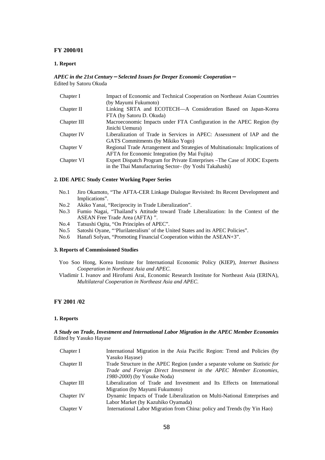#### **FY 2000/01**

#### **1. Report**

#### *APEC in the 21st Century*-*Selected Issues for Deeper Economic Cooperation*- Edited by Satoru Okuda

| Chapter I   | Impact of Economic and Technical Cooperation on Northeast Asian Countries    |
|-------------|------------------------------------------------------------------------------|
|             | (by Mayumi Fukumoto)                                                         |
| Chapter II  | Linking SRTA and ECOTECH-A Consideration Based on Japan-Korea                |
|             | FTA (by Satoru D. Okuda)                                                     |
| Chapter III | Macroeconomic Impacts under FTA Configuration in the APEC Region (by         |
|             | Jinichi Uemura)                                                              |
| Chapter IV  | Liberalization of Trade in Services in APEC: Assessment of IAP and the       |
|             | GATS Commitments (by Mikiko Yogo)                                            |
| Chapter V   | Regional Trade Arrangement and Strategies of Multinationals: Implications of |
|             | <b>AFTA</b> for Economic Integration (by Mai Fujita)                         |
| Chapter VI  | Expert Dispatch Program for Private Enterprises – The Case of JODC Experts   |
|             | in the Thai Manufacturing Sector- (by Yoshi Takahashi)                       |

#### **2. IDE APEC Study Center Working Paper Series**

- No.1 Jiro Okamoto, "The AFTA-CER Linkage Dialogue Revisited: Its Recent Development and Implications".
- No.2 Akiko Yanai, "Reciprocity in Trade Liberalization".
- No.3 Fumio Nagai, "Thailand's Attitude toward Trade Liberalization: In the Context of the ASEAN Free Trade Area (AFTA) ".
- No.4 Tatsushi Ogita, "On Principles of APEC".
- No.5 Satoshi Oyane, "'Plurilateralism' of the United States and its APEC Policies".
- No.6 Hanafi Sofyan, "Promoting Financial Cooperation within the ASEAN+3".

#### **3. Reports of Commissioned Studies**

- Yoo Soo Hong, Korea Institute for International Economic Policy (KIEP), *Internet Business Cooperation in Northeast Asia and APEC*.
- Vladimir I. Ivanov and Hirofumi Arai, Economic Research Institute for Northeast Asia (ERINA), *Multilateral Cooperation in Northeast Asia and APEC*.

### **FY 2001 /02**

#### **1. Reports**

#### *A Study on Trade, Investment and International Labor Migration in the APEC Member Economies*  Edited by Yasuko Hayase

| Chapter I   | International Migration in the Asia Pacific Region: Trend and Policies (by   |
|-------------|------------------------------------------------------------------------------|
|             | Yasuko Hayase)                                                               |
| Chapter II  | Trade Structure in the APEC Region (under a separate volume on Statistic for |
|             | Trade and Foreign Direct Investment in the APEC Member Economies,            |
|             | 1980-2000) (by Yosuke Noda)                                                  |
| Chapter III | Liberalization of Trade and Investment and Its Effects on International      |
|             | Migration (by Mayumi Fukumoto)                                               |
| Chapter IV  | Dynamic Impacts of Trade Liberalization on Multi-National Enterprises and    |
|             | Labor Market (by Kazuhiko Oyamada)                                           |
| Chapter V   | International Labor Migration from China: policy and Trends (by Yin Hao)     |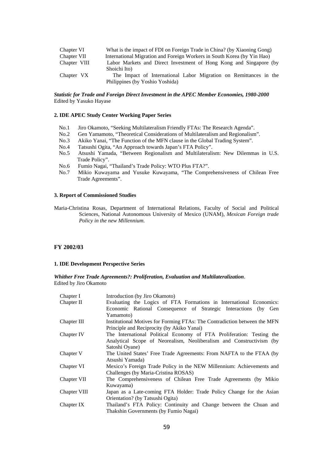| Chapter VI   | What is the impact of FDI on Foreign Trade in China? (by Xiaoning Gong) |
|--------------|-------------------------------------------------------------------------|
| Chapter VII  | International Migration and Foreign Workers in South Korea (by Yin Hao) |
| Chapter VIII | Labor Markets and Direct Investment of Hong Kong and Singapore (by      |
|              | Shoichi Ito)                                                            |
| Chapter VX   | The Impact of International Labor Migration on Remittances in the       |
|              | Philippines (by Yoshio Yoshida)                                         |

#### *Statistic for Trade and Foreign Direct Investment in the APEC Member Economies, 1980-2000*  Edited by Yasuko Hayase

#### **2. IDE APEC Study Center Working Paper Series**

- No.1 Jiro Okamoto, "Seeking Multilateralism Friendly FTAs: The Research Agenda".
- No.2 Gen Yamamoto, "Theoretical Considerations of Multilateralism and Regionalism".
- No.3 Akiko Yanai, "The Function of the MFN clause in the Global Trading System".
- No.4 Tatsushi Ogita, "An Approach towards Japan's FTA Policy".
- No.5 Atsushi Yamada, "Between Regionalism and Multilateralism: New Dilemmas in U.S. Trade Policy".
- No.6 Fumio Nagai, "Thailand's Trade Policy: WTO Plus FTA?".
- No.7 Mikio Kuwayama and Yusuke Kuwayama, "The Comprehensiveness of Chilean Free Trade Agreements".

#### **3. Report of Commissioned Studies**

Maria-Christina Rosas, Department of International Relations, Faculty of Social and Political Sciences, National Autonomous University of Mexico (UNAM), *Mexican Foreign trade Policy in the new Millennium.*

#### **FY 2002/03**

#### **1. IDE Development Perspective Series**

*Whither Free Trade Agreements?: Proliferation, Evaluation and Multilateralization*. Edited by Jiro Okamoto

| Chapter I    | Introduction (by Jiro Okamoto)                                            |
|--------------|---------------------------------------------------------------------------|
| Chapter II   | Evaluating the Logics of FTA Formations in International Economics:       |
|              | Economic Rational Consequence of Strategic Interactions (by Gen           |
|              | Yamamoto)                                                                 |
| Chapter III  | Institutional Motives for Forming FTAs: The Contradiction between the MFN |
|              | Principle and Reciprocity (by Akiko Yanai)                                |
| Chapter IV   | The International Political Economy of FTA Proliferation: Testing the     |
|              | Analytical Scope of Neorealism, Neoliberalism and Constructivism (by      |
|              | Satoshi Oyane)                                                            |
| Chapter V    | The United States' Free Trade Agreements: From NAFTA to the FTAA (by      |
|              | Atsushi Yamada)                                                           |
| Chapter VI   | Mexico's Foreign Trade Policy in the NEW Millennium: Achievements and     |
|              | Challenges (by Maria-Cristina ROSAS)                                      |
| Chapter VII  | The Comprehensiveness of Chilean Free Trade Agreements (by Mikio          |
|              | Kuwayama)                                                                 |
| Chapter VIII | Japan as a Late-coming FTA Holder: Trade Policy Change for the Asian      |
|              | Orientation? (by Tatsushi Ogita)                                          |
| Chapter IX   | Thailand's FTA Policy: Continuity and Change between the Chuan and        |
|              | Thakshin Governments (by Fumio Nagai)                                     |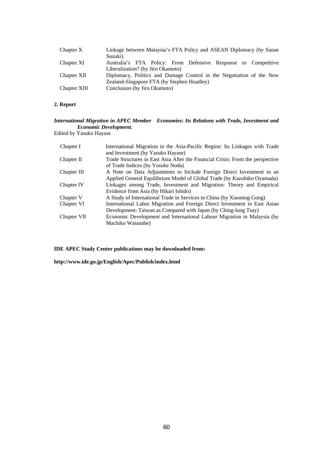| Chapter X    | Linkage between Malaysia's FTA Policy and ASEAN Diplomacy (by Sanae<br>Suzuki)                      |
|--------------|-----------------------------------------------------------------------------------------------------|
| Chapter XI   | Australia's FTA Policy: From Defensive Response to Competitive<br>Liberalization? (by Jiro Okamoto) |
| Chapter XII  | Diplomacy, Politics and Damage Control in the Negotiation of the New                                |
|              | Zealand-Singapore FTA (by Stephen Hoadley)                                                          |
| Chapter XIII | Conclusion (by Jiro Okamoto)                                                                        |

### **2. Report**

### *International Migration in APEC Member Economies: Its Relations with Trade, Investment and Economic Development.*

Edited by Yasuko Hayase

| International Migration in the Asia-Pacific Region: Its Linkages with Trade    |
|--------------------------------------------------------------------------------|
| and Investment (by Yasuko Hayase)                                              |
| Trade Structures in East Asia After the Financial Crisis: From the perspective |
| of Trade Indices (by Yosuke Noda)                                              |
| A Note on Data Adjustments to Include Foreign Direct Investment in an          |
| Applied General Equilibrium Model of Global Trade (by Kazuhiko Oyamada)        |
| Linkages among Trade, Investment and Migration: Theory and Empirical           |
| Evidence from Asia (by Hikari Ishido)                                          |
| A Study of International Trade in Services in China (by Xiaoning Gong)         |
| International Labor Migration and Foreign Direct Investment in East Asian      |
| Development: Taiwan as Compared with Japan (by Ching-lung Tsay)                |
| Economic Development and International Labour Migration in Malaysia (by        |
| Machiko Watanabe)                                                              |
|                                                                                |

**IDE APEC Study Center publications may be downloaded from:** 

**http://www.ide.go.jp/English/Apec/Publish/index.html**